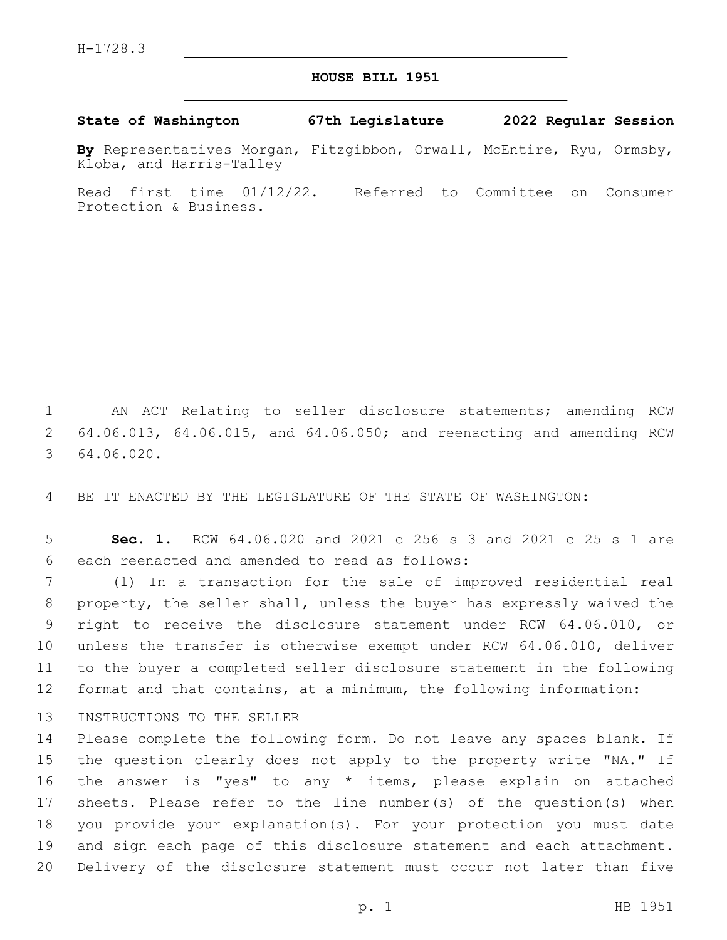## **HOUSE BILL 1951**

**State of Washington 67th Legislature 2022 Regular Session**

**By** Representatives Morgan, Fitzgibbon, Orwall, McEntire, Ryu, Ormsby, Kloba, and Harris-Talley

Read first time 01/12/22. Referred to Committee on Consumer Protection & Business.

 AN ACT Relating to seller disclosure statements; amending RCW 64.06.013, 64.06.015, and 64.06.050; and reenacting and amending RCW 64.06.020.3

BE IT ENACTED BY THE LEGISLATURE OF THE STATE OF WASHINGTON:

 **Sec. 1.** RCW 64.06.020 and 2021 c 256 s 3 and 2021 c 25 s 1 are 6 each reenacted and amended to read as follows:

 (1) In a transaction for the sale of improved residential real property, the seller shall, unless the buyer has expressly waived the right to receive the disclosure statement under RCW 64.06.010, or unless the transfer is otherwise exempt under RCW 64.06.010, deliver to the buyer a completed seller disclosure statement in the following format and that contains, at a minimum, the following information:

13 INSTRUCTIONS TO THE SELLER

 Please complete the following form. Do not leave any spaces blank. If the question clearly does not apply to the property write "NA." If the answer is "yes" to any \* items, please explain on attached sheets. Please refer to the line number(s) of the question(s) when you provide your explanation(s). For your protection you must date and sign each page of this disclosure statement and each attachment. Delivery of the disclosure statement must occur not later than five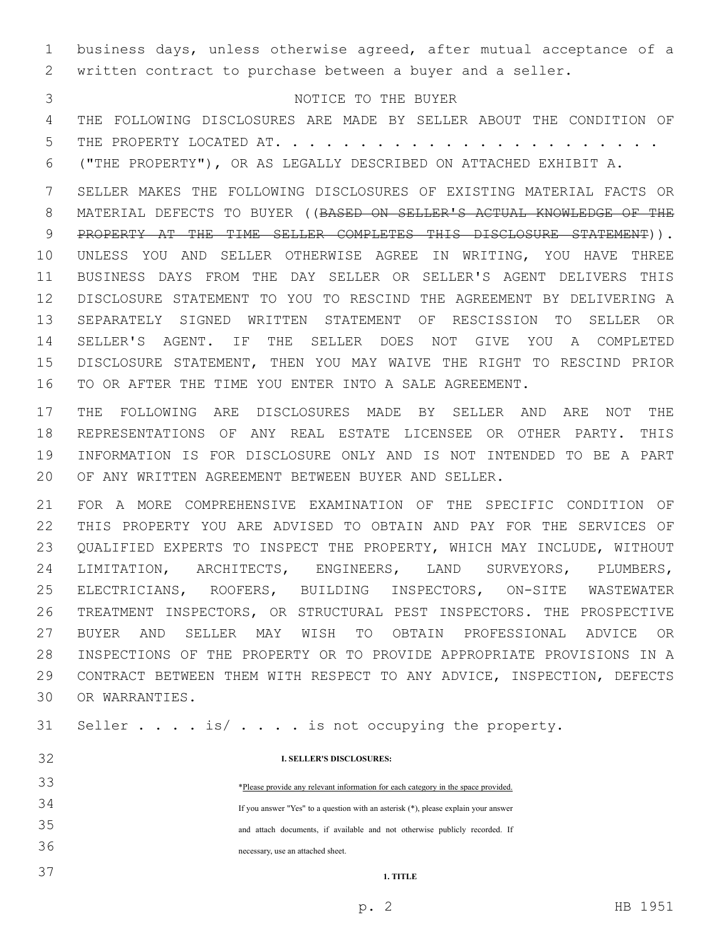business days, unless otherwise agreed, after mutual acceptance of a written contract to purchase between a buyer and a seller.

3 NOTICE TO THE BUYER THE FOLLOWING DISCLOSURES ARE MADE BY SELLER ABOUT THE CONDITION OF THE PROPERTY LOCATED AT. . . . . . . . . . . . . . . . . . . . . . . ("THE PROPERTY"), OR AS LEGALLY DESCRIBED ON ATTACHED EXHIBIT A.

 SELLER MAKES THE FOLLOWING DISCLOSURES OF EXISTING MATERIAL FACTS OR 8 MATERIAL DEFECTS TO BUYER ((BASED ON SELLER'S ACTUAL KNOWLEDGE OF THE 9 PROPERTY AT THE TIME SELLER COMPLETES THIS DISCLOSURE STATEMENT)). UNLESS YOU AND SELLER OTHERWISE AGREE IN WRITING, YOU HAVE THREE BUSINESS DAYS FROM THE DAY SELLER OR SELLER'S AGENT DELIVERS THIS DISCLOSURE STATEMENT TO YOU TO RESCIND THE AGREEMENT BY DELIVERING A SEPARATELY SIGNED WRITTEN STATEMENT OF RESCISSION TO SELLER OR SELLER'S AGENT. IF THE SELLER DOES NOT GIVE YOU A COMPLETED DISCLOSURE STATEMENT, THEN YOU MAY WAIVE THE RIGHT TO RESCIND PRIOR TO OR AFTER THE TIME YOU ENTER INTO A SALE AGREEMENT.

 THE FOLLOWING ARE DISCLOSURES MADE BY SELLER AND ARE NOT THE REPRESENTATIONS OF ANY REAL ESTATE LICENSEE OR OTHER PARTY. THIS INFORMATION IS FOR DISCLOSURE ONLY AND IS NOT INTENDED TO BE A PART OF ANY WRITTEN AGREEMENT BETWEEN BUYER AND SELLER.

 FOR A MORE COMPREHENSIVE EXAMINATION OF THE SPECIFIC CONDITION OF THIS PROPERTY YOU ARE ADVISED TO OBTAIN AND PAY FOR THE SERVICES OF QUALIFIED EXPERTS TO INSPECT THE PROPERTY, WHICH MAY INCLUDE, WITHOUT LIMITATION, ARCHITECTS, ENGINEERS, LAND SURVEYORS, PLUMBERS, ELECTRICIANS, ROOFERS, BUILDING INSPECTORS, ON-SITE WASTEWATER TREATMENT INSPECTORS, OR STRUCTURAL PEST INSPECTORS. THE PROSPECTIVE BUYER AND SELLER MAY WISH TO OBTAIN PROFESSIONAL ADVICE OR INSPECTIONS OF THE PROPERTY OR TO PROVIDE APPROPRIATE PROVISIONS IN A CONTRACT BETWEEN THEM WITH RESPECT TO ANY ADVICE, INSPECTION, DEFECTS 30 OR WARRANTIES.

31 Seller . . . . is/ . . . . is not occupying the property.

| 32 | <b>I. SELLER'S DISCLOSURES:</b>                                                       |
|----|---------------------------------------------------------------------------------------|
| 33 | *Please provide any relevant information for each category in the space provided.     |
| 34 | If you answer "Yes" to a question with an asterisk $(*)$ , please explain your answer |
| 35 | and attach documents, if available and not otherwise publicly recorded. If            |
| 36 | necessary, use an attached sheet.                                                     |
| 37 | 1. TITLE                                                                              |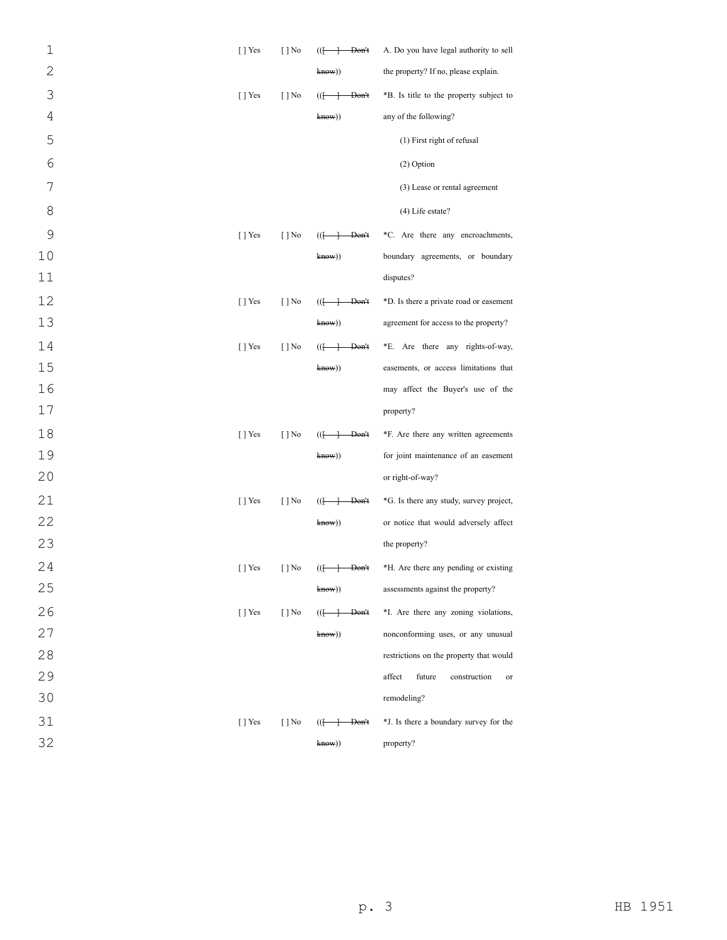| $\mathbf 1$  | [] Yes    | $[ ]$ No                 | $((\longleftarrow)$ Don't                       | A. Do you have legal authority to sell  |
|--------------|-----------|--------------------------|-------------------------------------------------|-----------------------------------------|
| $\mathbf{2}$ |           |                          | kmow)                                           | the property? If no, please explain.    |
| 3            | [ ] Yes   | $[$ ] No                 | $((\longleftarrow \longleftarrow \text{Don't})$ | *B. Is title to the property subject to |
| 4            |           |                          | $k_{\text{new}}$ )                              | any of the following?                   |
| 5            |           |                          |                                                 | (1) First right of refusal              |
| 6            |           |                          |                                                 | (2) Option                              |
| 7            |           |                          |                                                 | (3) Lease or rental agreement           |
| 8            |           |                          |                                                 | (4) Life estate?                        |
| 9            | $[$ T Yes | $[$ ] No                 | $((\longleftarrow \longleftarrow \text{Don't})$ | *C. Are there any encroachments,        |
| 10           |           |                          | kmow)                                           | boundary agreements, or boundary        |
| 11           |           |                          |                                                 | disputes?                               |
| 12           | [] Yes    | $[$ ] No                 | $((\longleftarrow \longleftarrow \text{Don't})$ | *D. Is there a private road or easement |
| 13           |           |                          | $k_{\text{new}}$ )                              | agreement for access to the property?   |
| 14           | $[$ T Yes | $\lceil \cdot \rceil$ No | $((\longleftarrow]$ Don't                       | *E. Are there any rights-of-way,        |
| 15           |           |                          | $k_{\text{new}}$ )                              | easements, or access limitations that   |
| 16           |           |                          |                                                 | may affect the Buyer's use of the       |
| 17           |           |                          |                                                 | property?                               |
| 18           | $[$ T Yes | $[$ ] No                 | $((\longleftarrow \longleftarrow \text{Don't})$ | *F. Are there any written agreements    |
| 19           |           |                          | kmow)                                           | for joint maintenance of an easement    |
| 20           |           |                          |                                                 | or right-of-way?                        |
| 21           | [ ] Yes   | $[$ ] No                 | $((\longleftarrow \longleftarrow \text{Don't})$ | *G. Is there any study, survey project, |
| 22           |           |                          | $k_{\text{new}}$ )                              | or notice that would adversely affect   |
| 23           |           |                          |                                                 | the property?                           |
| 24           | [ ] Yes   | $[ ]$ No                 | $\rightarrow$ Don't<br>((⊣                      | *H. Are there any pending or existing   |
| 25           |           |                          | $k_{\text{new}}$ )                              | assessments against the property?       |
| 26           | [ ] Yes   | $\lceil \cdot \rceil$ No | $((\longleftarrow \longleftarrow \text{Don't})$ | *I. Are there any zoning violations,    |
| 27           |           |                          | kmow)                                           | nonconforming uses, or any unusual      |
| 28           |           |                          |                                                 | restrictions on the property that would |
| 29           |           |                          |                                                 | affect<br>future<br>construction<br>or  |
| 30           |           |                          |                                                 | remodeling?                             |
| 31           | [ ] Yes   | $[$ ] No                 | $((\longleftarrow \longleftarrow \text{Don't})$ | *J. Is there a boundary survey for the  |
| 32           |           |                          | kmow)                                           | property?                               |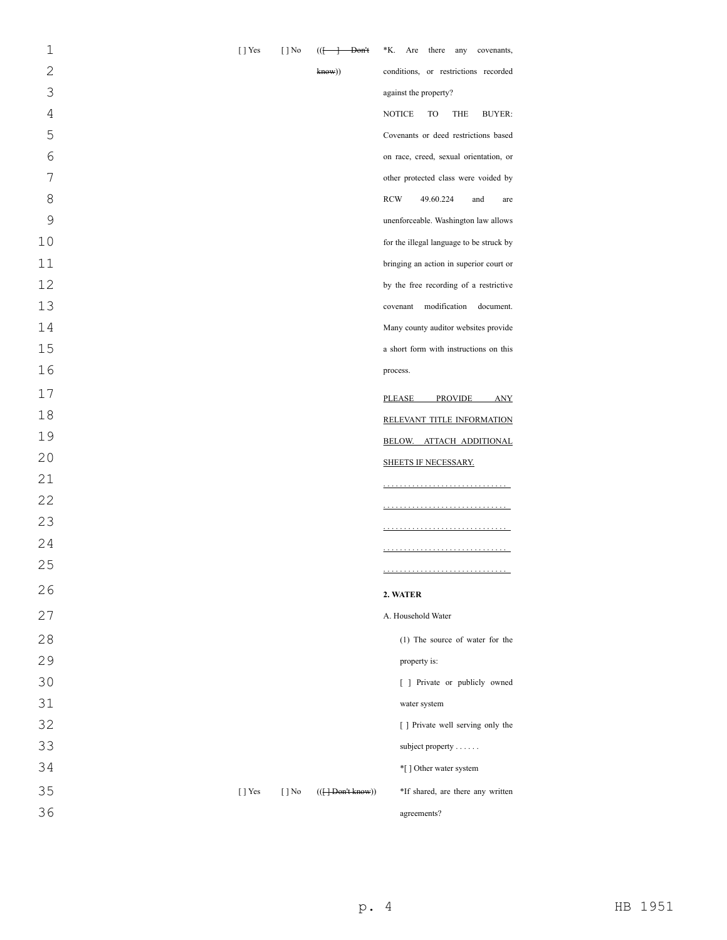| $\mathbf 1$     | $[$ T Yes | $[$   No | $((\longleftarrow)$ Don't | *K.<br>Are<br>there<br>any<br>covenants,    |
|-----------------|-----------|----------|---------------------------|---------------------------------------------|
| $\overline{2}$  |           |          | kmow)                     | conditions, or restrictions recorded        |
| 3               |           |          |                           | against the property?                       |
| $\overline{4}$  |           |          |                           | <b>NOTICE</b><br>TO<br>THE<br><b>BUYER:</b> |
| 5               |           |          |                           | Covenants or deed restrictions based        |
| $6\phantom{1}6$ |           |          |                           | on race, creed, sexual orientation, or      |
| 7               |           |          |                           | other protected class were voided by        |
| 8               |           |          |                           | <b>RCW</b><br>49.60.224<br>and<br>are       |
| 9               |           |          |                           | unenforceable. Washington law allows        |
| 10              |           |          |                           | for the illegal language to be struck by    |
| 11              |           |          |                           | bringing an action in superior court or     |
| 12              |           |          |                           | by the free recording of a restrictive      |
| 13              |           |          |                           | covenant modification<br>document.          |
| 14              |           |          |                           | Many county auditor websites provide        |
| 15              |           |          |                           | a short form with instructions on this      |
| 16              |           |          |                           | process.                                    |
| 17              |           |          |                           | PLEASE<br><b>PROVIDE</b><br><b>ANY</b>      |
| 18              |           |          |                           | RELEVANT TITLE INFORMATION                  |
| 19              |           |          |                           | <b>BELOW. ATTACH ADDITIONAL</b>             |
| 20              |           |          |                           | SHEETS IF NECESSARY.                        |
| 21              |           |          |                           |                                             |
| 22              |           |          |                           |                                             |
| 23              |           |          |                           |                                             |
| 24              |           |          |                           |                                             |
| 25              |           |          |                           |                                             |
| 26              |           |          |                           | 2. WATER                                    |
| 27              |           |          |                           | A. Household Water                          |
| 28              |           |          |                           | (1) The source of water for the             |
| 29              |           |          |                           | property is:                                |
| 30              |           |          |                           | [ ] Private or publicly owned               |
| 31              |           |          |                           | water system                                |
| 32              |           |          |                           | [ ] Private well serving only the           |
| 33              |           |          |                           | subject property                            |
| 34              |           |          |                           | *[] Other water system                      |
| 35              | [ ] Yes   | $[ ]$ No | $((\Box$ Don't know)      | *If shared, are there any written           |
| 36              |           |          |                           | agreements?                                 |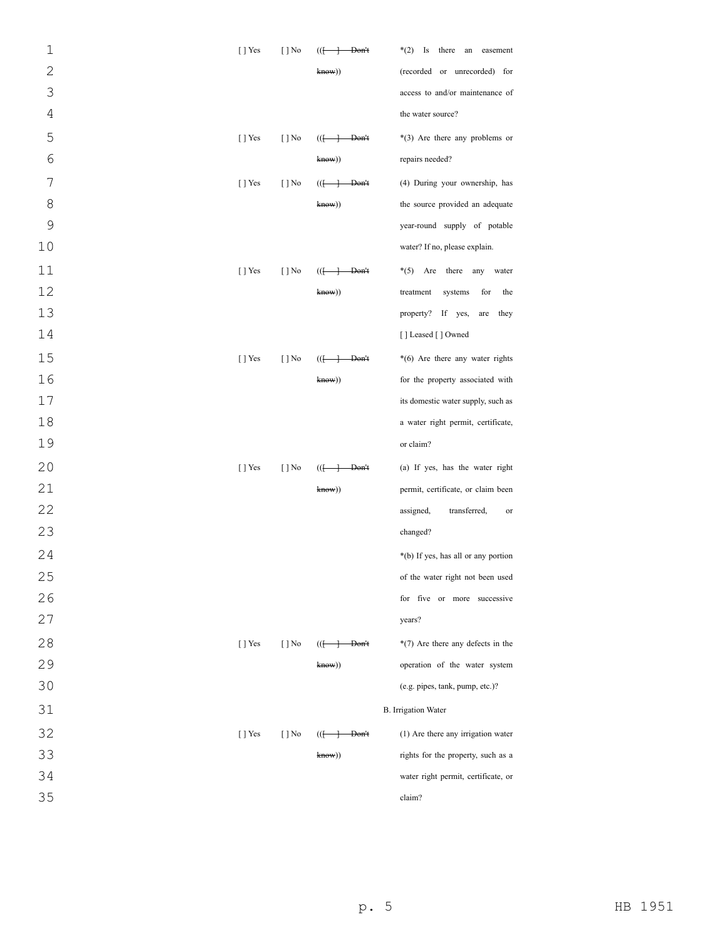| $1\,$          | $\lceil$   Yes | $[$ ] No                 | $((\longleftarrow \longleftarrow \text{Don't})$                                | $*(2)$ Is there an easement         |
|----------------|----------------|--------------------------|--------------------------------------------------------------------------------|-------------------------------------|
| $\overline{2}$ |                |                          | kmow)                                                                          | (recorded or unrecorded) for        |
| 3              |                |                          |                                                                                | access to and/or maintenance of     |
| $\overline{4}$ |                |                          |                                                                                | the water source?                   |
| 5              | [ ] Yes        | $[$ ] No                 | $((\longleftarrow]$ Don't                                                      | *(3) Are there any problems or      |
| 6              |                |                          | knew)                                                                          | repairs needed?                     |
| 7              | $[$ ] Yes      | $[ ]$ No                 | $((\longleftarrow \hspace{-3pt}\rightarrow \hspace{-3pt}\longrightarrow$ Don't | (4) During your ownership, has      |
| 8              |                |                          | $k_{\text{new}}$ )                                                             | the source provided an adequate     |
| $\mathcal{G}$  |                |                          |                                                                                | year-round supply of potable        |
| 10             |                |                          |                                                                                | water? If no, please explain.       |
| 11             | $[$ ] Yes      | $[ ]$ No                 | $((\leftarrow)$ Don't                                                          | $*(5)$ Are<br>there any<br>water    |
| 12             |                |                          | kmow)                                                                          | treatment<br>systems<br>for<br>the  |
| 13             |                |                          |                                                                                | property?<br>If yes,<br>they<br>are |
| 14             |                |                          |                                                                                | [] Leased [] Owned                  |
| 15             | $[$ T Yes      | $\lceil \cdot \rceil$ No | $((\longleftarrow)$ Don't                                                      | *(6) Are there any water rights     |
| 16             |                |                          | $k_{\text{new}}$ )                                                             | for the property associated with    |
| 17             |                |                          |                                                                                | its domestic water supply, such as  |
| $18\,$         |                |                          |                                                                                | a water right permit, certificate,  |
| 19             |                |                          |                                                                                | or claim?                           |
| 20             | [ ] Yes        | $[ ]$ No                 | $((\longrightarrow)$ Don't                                                     | (a) If yes, has the water right     |
| 21             |                |                          | $k_{\text{new}}$ )                                                             | permit, certificate, or claim been  |
| 22             |                |                          |                                                                                | transferred,<br>assigned,<br>or     |
| 23             |                |                          |                                                                                | changed?                            |
| 24             |                |                          |                                                                                | *(b) If yes, has all or any portion |
| 25             |                |                          |                                                                                | of the water right not been used    |
| 26             |                |                          |                                                                                | for five or more successive         |
| 27             |                |                          |                                                                                | years?                              |
| 28             | $[$ T Yes      | $\lceil \cdot \rceil$ No | $((\longleftarrow]$ Don't                                                      | *(7) Are there any defects in the   |
| 29             |                |                          | $k_{\text{new}}$ )                                                             | operation of the water system       |
| 30             |                |                          |                                                                                | (e.g. pipes, tank, pump, etc.)?     |
| 31             |                |                          |                                                                                | <b>B.</b> Irrigation Water          |
| 32             | $[$ ] Yes      | $[ ]$ No                 | $((\leftarrow)$ Don't                                                          | (1) Are there any irrigation water  |
| 33             |                |                          | kmow)                                                                          | rights for the property, such as a  |
| 34             |                |                          |                                                                                | water right permit, certificate, or |
| 35             |                |                          |                                                                                | claim?                              |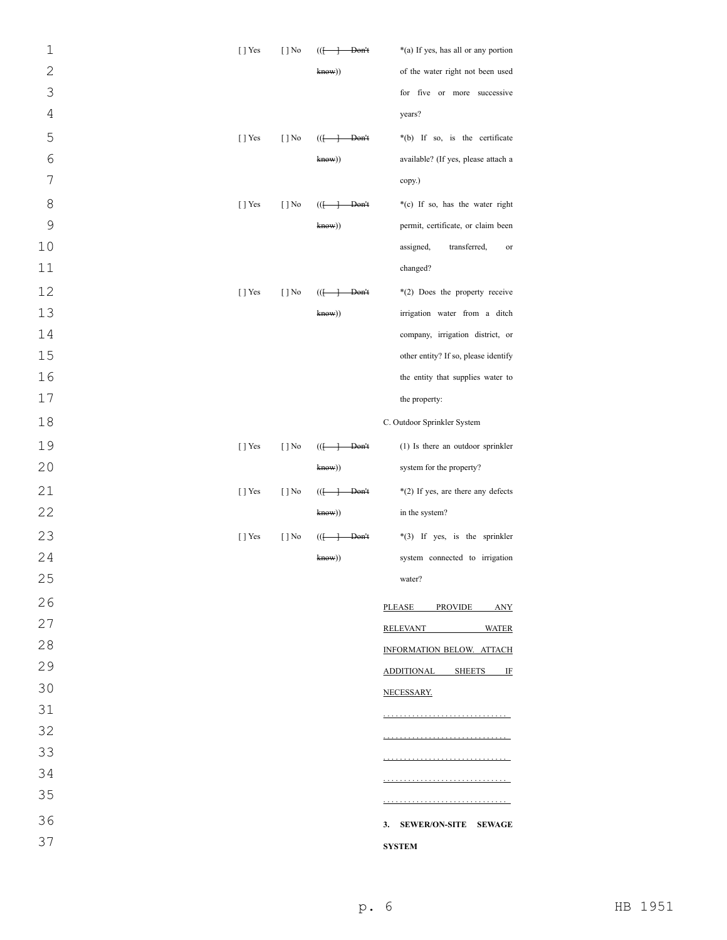| $1\,$          | [] Yes    | $[ ]$ No                 | $((\longleftarrow)$ Don't                       | *(a) If yes, has all or any portion  |
|----------------|-----------|--------------------------|-------------------------------------------------|--------------------------------------|
| $\overline{c}$ |           |                          | kmow)                                           | of the water right not been used     |
| 3              |           |                          |                                                 | for five or more successive          |
| $\sqrt{4}$     |           |                          |                                                 | years?                               |
| 5              | $[ ]$ Yes | $[ ]$ No                 | $((\longleftarrow)$ Don't                       | *(b) If so, is the certificate       |
| $\sqrt{6}$     |           |                          | knew)                                           | available? (If yes, please attach a  |
| $\overline{7}$ |           |                          |                                                 | copy.)                               |
| $\,8\,$        | [] Yes    | $\lceil \cdot \rceil$ No | $((\longleftarrow]$ Don't                       | *(c) If so, has the water right      |
| 9              |           |                          | $k_{\text{new}}$ )                              | permit, certificate, or claim been   |
| 10             |           |                          |                                                 | transferred,<br>assigned,<br>or      |
| 11             |           |                          |                                                 | changed?                             |
| 12             | $[ ]$ Yes | $[ ]$ No                 | $((\longleftarrow \longleftarrow \text{Don't})$ | $*(2)$ Does the property receive     |
| 13             |           |                          | kmow)                                           | irrigation water from a ditch        |
| 14             |           |                          |                                                 | company, irrigation district, or     |
| 15             |           |                          |                                                 | other entity? If so, please identify |
| 16             |           |                          |                                                 | the entity that supplies water to    |
| 17             |           |                          |                                                 | the property:                        |
| 18             |           |                          |                                                 | C. Outdoor Sprinkler System          |
| 19             | [] Yes    | $[ ]$ No                 | $((\longleftarrow]$ Don't                       | (1) Is there an outdoor sprinkler    |
| 20             |           |                          | kmow)                                           | system for the property?             |
| 21             | [] Yes    | $[ ]$ No                 | $((\longleftarrow]$ Don't                       | *(2) If yes, are there any defects   |
| 22             |           |                          | kmow)                                           | in the system?                       |
| 23             | $[ ]$ Yes | $[ ]$ No                 | $((\longleftarrow]$ Don't                       | *(3) If yes, is the sprinkler        |
| 24             |           |                          | kmow)                                           | system connected to irrigation       |
| 25             |           |                          |                                                 | water?                               |
| 26             |           |                          |                                                 | PLEASE<br>PROVIDE ANY                |
| 27             |           |                          |                                                 | <b>RELEVANT</b><br><b>WATER</b>      |
| 28             |           |                          |                                                 | INFORMATION BELOW. ATTACH            |
| 29             |           |                          |                                                 | ADDITIONAL SHEETS<br><b>IF</b>       |
| 30             |           |                          |                                                 | NECESSARY.                           |
| 31             |           |                          |                                                 |                                      |
| 32             |           |                          |                                                 |                                      |
| 33             |           |                          |                                                 |                                      |
| 34             |           |                          |                                                 |                                      |
| 35             |           |                          |                                                 |                                      |
| 36             |           |                          |                                                 | 3. SEWER/ON-SITE SEWAGE              |
| 37             |           |                          |                                                 | <b>SYSTEM</b>                        |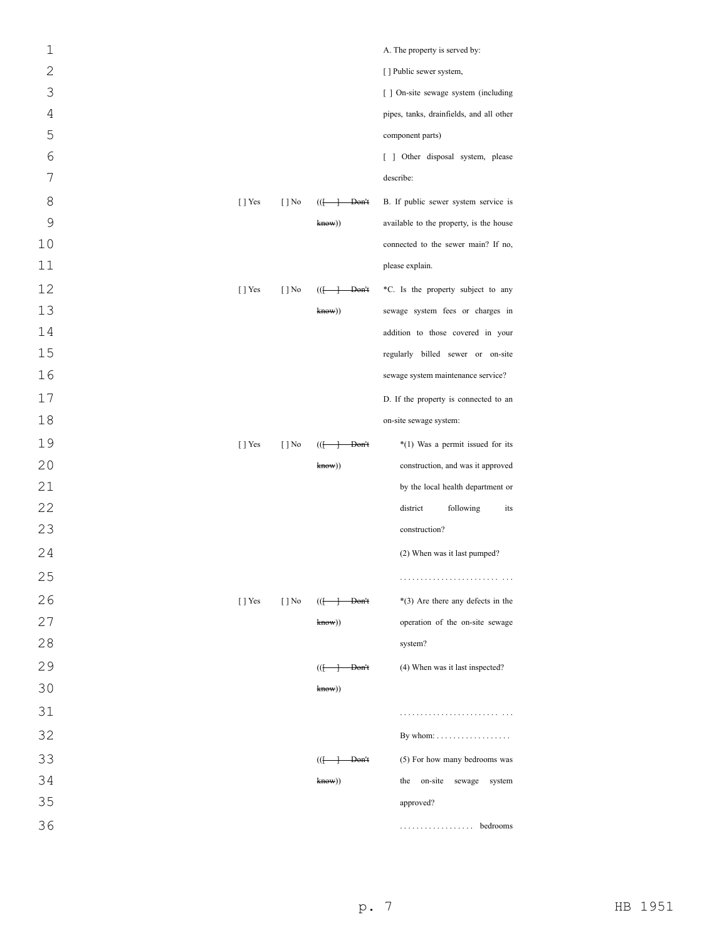| $\mathbf 1$    |                           |          |                                                 | A. The property is served by:                  |
|----------------|---------------------------|----------|-------------------------------------------------|------------------------------------------------|
| $\overline{2}$ |                           |          |                                                 | [] Public sewer system,                        |
| 3              |                           |          |                                                 | [ ] On-site sewage system (including           |
| $\overline{4}$ |                           |          |                                                 | pipes, tanks, drainfields, and all other       |
| 5              |                           |          |                                                 | component parts)                               |
| 6              |                           |          |                                                 | [ ] Other disposal system, please              |
| 7              |                           |          |                                                 | describe:                                      |
| 8              | [] Yes                    | $[$ ] No | $((\longleftarrow)$ Don't                       | B. If public sewer system service is           |
| $\mathsf 9$    |                           |          | $k_{\text{new}}$ )                              | available to the property, is the house        |
| 10             |                           |          |                                                 | connected to the sewer main? If no,            |
| 11             |                           |          |                                                 | please explain.                                |
| 12             | $\lceil \cdot \rceil$ Yes | $[$ ] No | $((\longleftarrow \longleftarrow \text{Don't})$ | *C. Is the property subject to any             |
| 13             |                           |          | $k_{\text{new}}$ )                              | sewage system fees or charges in               |
| 14             |                           |          |                                                 | addition to those covered in your              |
| 15             |                           |          |                                                 | regularly billed sewer or on-site              |
| 16             |                           |          |                                                 | sewage system maintenance service?             |
| 17             |                           |          |                                                 | D. If the property is connected to an          |
| 18             |                           |          |                                                 | on-site sewage system:                         |
| 19             | [] Yes                    | $[$ ] No | $((\longrightarrow)$ Don't                      | *(1) Was a permit issued for its               |
| 20             |                           |          | $k_{\text{new}}$ )                              | construction, and was it approved              |
| 21             |                           |          |                                                 | by the local health department or              |
| 22             |                           |          |                                                 | district<br>following<br>its                   |
| 23             |                           |          |                                                 | construction?                                  |
| 24             |                           |          |                                                 | (2) When was it last pumped?                   |
| 25             |                           |          |                                                 |                                                |
| 26             | [] Yes                    | $[ ]$ No | $((\Box)$ Don't                                 | $*(3)$ Are there any defects in the            |
| 27             |                           |          | $k_{\text{new}}$ )                              | operation of the on-site sewage                |
| 28             |                           |          |                                                 | system?                                        |
| 29             |                           |          | $((\longleftarrow)$ Don't                       | (4) When was it last inspected?                |
| 30             |                           |          | $k_{\text{new}}$ )                              |                                                |
| 31             |                           |          |                                                 |                                                |
| 32             |                           |          |                                                 | By whom: $\dots \dots \dots \dots \dots \dots$ |
| 33             |                           |          | $((\longleftarrow]$ Don't                       | (5) For how many bedrooms was                  |
| 34             |                           |          | kmow)                                           | on-site sewage<br>the<br>system                |
| 35             |                           |          |                                                 | approved?                                      |
| 36             |                           |          |                                                 | . bedrooms                                     |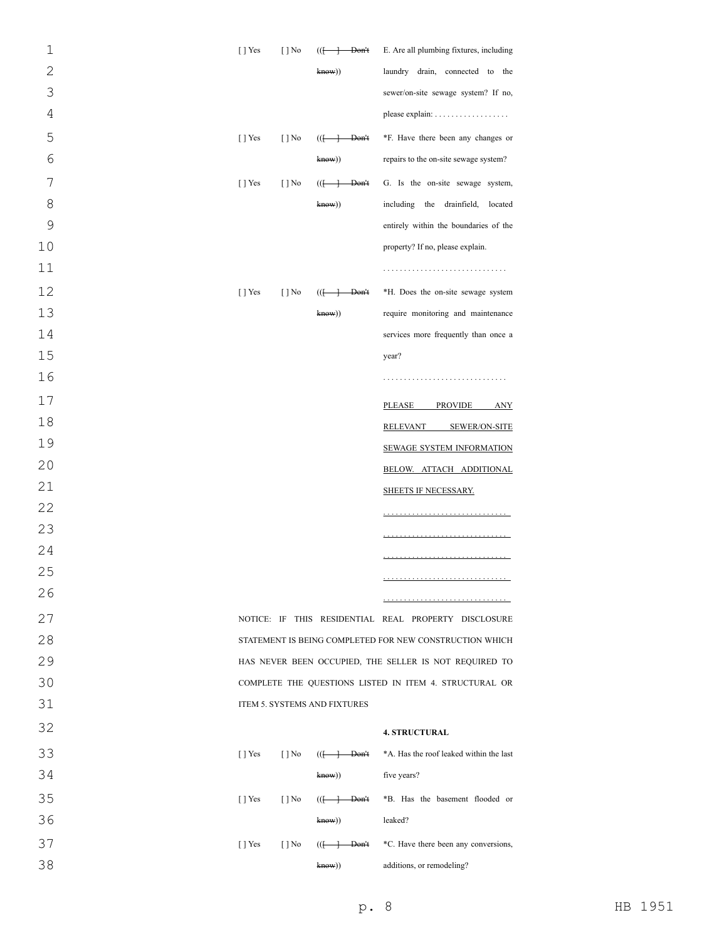| $\mathbf{2}$<br>kmow)<br>laundry drain, connected to the<br>3<br>sewer/on-site sewage system? If no,<br>$\overline{4}$<br>5<br>$\lceil$   Yes<br>*F. Have there been any changes or<br>$\lceil \cdot \rceil$ No<br>$((\longleftarrow \longleftarrow \text{Don't})$<br>6<br>knew)<br>repairs to the on-site sewage system?<br>7<br>$\lceil$   Yes<br>$\lceil \cdot \rceil$ No<br>$((\longleftarrow \longleftarrow \text{Don't})$<br>G. Is the on-site sewage system,<br>8<br>including the drainfield, located<br>$k_{\text{new}}$ )<br>9<br>entirely within the boundaries of the<br>10<br>property? If no, please explain.<br>11<br>12<br>$[$ ] Yes<br>$\lceil \cdot \rceil$ No<br>$((\longrightarrow)$ Don't<br>*H. Does the on-site sewage system<br>13<br>kmow)<br>require monitoring and maintenance<br>14<br>services more frequently than once a<br>15<br>year?<br>16<br>17<br><b>PLEASE</b><br><b>PROVIDE</b><br>ANY<br>18<br><b>RELEVANT</b><br>SEWER/ON-SITE<br>19<br>SEWAGE SYSTEM INFORMATION<br>20<br><b>BELOW. ATTACH ADDITIONAL</b><br>21<br>SHEETS IF NECESSARY.<br>22<br>23<br>24<br>25<br>26<br>27<br>NOTICE: IF THIS RESIDENTIAL REAL PROPERTY DISCLOSURE<br>28<br>STATEMENT IS BEING COMPLETED FOR NEW CONSTRUCTION WHICH<br>29<br>HAS NEVER BEEN OCCUPIED, THE SELLER IS NOT REQUIRED TO<br>30<br>COMPLETE THE QUESTIONS LISTED IN ITEM 4. STRUCTURAL OR<br>31<br>ITEM 5. SYSTEMS AND FIXTURES<br>32<br><b>4. STRUCTURAL</b><br>33<br>$\lceil \cdot \rceil$ Yes<br>*A. Has the roof leaked within the last<br>$[$   No<br>$((\longleftarrow \longleftarrow \text{Don't})$<br>34<br>five years?<br>$k_{\text{new}}$ )<br>35<br>$\lceil \cdot \rceil$ No<br>$((\longleftarrow \longleftarrow \text{Don't}$<br>*B. Has the basement flooded or<br>$\lceil \cdot \rceil$ Yes<br>36<br>$k_{\text{new}}$ )<br>leaked?<br>37<br>*C. Have there been any conversions,<br>$[$ T Yes<br>$\lceil \cdot \rceil$ No<br>$((\longleftarrow \longleftarrow \text{Don't})$ | $\mathbf 1$ | $[$ T Yes | $\lceil \cdot \rceil$ No | $((\longleftarrow \longleftarrow \text{Don't})$ | E. Are all plumbing fixtures, including |
|--------------------------------------------------------------------------------------------------------------------------------------------------------------------------------------------------------------------------------------------------------------------------------------------------------------------------------------------------------------------------------------------------------------------------------------------------------------------------------------------------------------------------------------------------------------------------------------------------------------------------------------------------------------------------------------------------------------------------------------------------------------------------------------------------------------------------------------------------------------------------------------------------------------------------------------------------------------------------------------------------------------------------------------------------------------------------------------------------------------------------------------------------------------------------------------------------------------------------------------------------------------------------------------------------------------------------------------------------------------------------------------------------------------------------------------------------------------------------------------------------------------------------------------------------------------------------------------------------------------------------------------------------------------------------------------------------------------------------------------------------------------------------------------------------------------------------------------------------------------------------------------------------------------------------------------------------------------------------------|-------------|-----------|--------------------------|-------------------------------------------------|-----------------------------------------|
|                                                                                                                                                                                                                                                                                                                                                                                                                                                                                                                                                                                                                                                                                                                                                                                                                                                                                                                                                                                                                                                                                                                                                                                                                                                                                                                                                                                                                                                                                                                                                                                                                                                                                                                                                                                                                                                                                                                                                                                |             |           |                          |                                                 |                                         |
|                                                                                                                                                                                                                                                                                                                                                                                                                                                                                                                                                                                                                                                                                                                                                                                                                                                                                                                                                                                                                                                                                                                                                                                                                                                                                                                                                                                                                                                                                                                                                                                                                                                                                                                                                                                                                                                                                                                                                                                |             |           |                          |                                                 |                                         |
|                                                                                                                                                                                                                                                                                                                                                                                                                                                                                                                                                                                                                                                                                                                                                                                                                                                                                                                                                                                                                                                                                                                                                                                                                                                                                                                                                                                                                                                                                                                                                                                                                                                                                                                                                                                                                                                                                                                                                                                |             |           |                          |                                                 |                                         |
|                                                                                                                                                                                                                                                                                                                                                                                                                                                                                                                                                                                                                                                                                                                                                                                                                                                                                                                                                                                                                                                                                                                                                                                                                                                                                                                                                                                                                                                                                                                                                                                                                                                                                                                                                                                                                                                                                                                                                                                |             |           |                          |                                                 |                                         |
|                                                                                                                                                                                                                                                                                                                                                                                                                                                                                                                                                                                                                                                                                                                                                                                                                                                                                                                                                                                                                                                                                                                                                                                                                                                                                                                                                                                                                                                                                                                                                                                                                                                                                                                                                                                                                                                                                                                                                                                |             |           |                          |                                                 |                                         |
|                                                                                                                                                                                                                                                                                                                                                                                                                                                                                                                                                                                                                                                                                                                                                                                                                                                                                                                                                                                                                                                                                                                                                                                                                                                                                                                                                                                                                                                                                                                                                                                                                                                                                                                                                                                                                                                                                                                                                                                |             |           |                          |                                                 |                                         |
|                                                                                                                                                                                                                                                                                                                                                                                                                                                                                                                                                                                                                                                                                                                                                                                                                                                                                                                                                                                                                                                                                                                                                                                                                                                                                                                                                                                                                                                                                                                                                                                                                                                                                                                                                                                                                                                                                                                                                                                |             |           |                          |                                                 |                                         |
|                                                                                                                                                                                                                                                                                                                                                                                                                                                                                                                                                                                                                                                                                                                                                                                                                                                                                                                                                                                                                                                                                                                                                                                                                                                                                                                                                                                                                                                                                                                                                                                                                                                                                                                                                                                                                                                                                                                                                                                |             |           |                          |                                                 |                                         |
|                                                                                                                                                                                                                                                                                                                                                                                                                                                                                                                                                                                                                                                                                                                                                                                                                                                                                                                                                                                                                                                                                                                                                                                                                                                                                                                                                                                                                                                                                                                                                                                                                                                                                                                                                                                                                                                                                                                                                                                |             |           |                          |                                                 |                                         |
|                                                                                                                                                                                                                                                                                                                                                                                                                                                                                                                                                                                                                                                                                                                                                                                                                                                                                                                                                                                                                                                                                                                                                                                                                                                                                                                                                                                                                                                                                                                                                                                                                                                                                                                                                                                                                                                                                                                                                                                |             |           |                          |                                                 |                                         |
|                                                                                                                                                                                                                                                                                                                                                                                                                                                                                                                                                                                                                                                                                                                                                                                                                                                                                                                                                                                                                                                                                                                                                                                                                                                                                                                                                                                                                                                                                                                                                                                                                                                                                                                                                                                                                                                                                                                                                                                |             |           |                          |                                                 |                                         |
|                                                                                                                                                                                                                                                                                                                                                                                                                                                                                                                                                                                                                                                                                                                                                                                                                                                                                                                                                                                                                                                                                                                                                                                                                                                                                                                                                                                                                                                                                                                                                                                                                                                                                                                                                                                                                                                                                                                                                                                |             |           |                          |                                                 |                                         |
|                                                                                                                                                                                                                                                                                                                                                                                                                                                                                                                                                                                                                                                                                                                                                                                                                                                                                                                                                                                                                                                                                                                                                                                                                                                                                                                                                                                                                                                                                                                                                                                                                                                                                                                                                                                                                                                                                                                                                                                |             |           |                          |                                                 |                                         |
|                                                                                                                                                                                                                                                                                                                                                                                                                                                                                                                                                                                                                                                                                                                                                                                                                                                                                                                                                                                                                                                                                                                                                                                                                                                                                                                                                                                                                                                                                                                                                                                                                                                                                                                                                                                                                                                                                                                                                                                |             |           |                          |                                                 |                                         |
|                                                                                                                                                                                                                                                                                                                                                                                                                                                                                                                                                                                                                                                                                                                                                                                                                                                                                                                                                                                                                                                                                                                                                                                                                                                                                                                                                                                                                                                                                                                                                                                                                                                                                                                                                                                                                                                                                                                                                                                |             |           |                          |                                                 |                                         |
|                                                                                                                                                                                                                                                                                                                                                                                                                                                                                                                                                                                                                                                                                                                                                                                                                                                                                                                                                                                                                                                                                                                                                                                                                                                                                                                                                                                                                                                                                                                                                                                                                                                                                                                                                                                                                                                                                                                                                                                |             |           |                          |                                                 |                                         |
|                                                                                                                                                                                                                                                                                                                                                                                                                                                                                                                                                                                                                                                                                                                                                                                                                                                                                                                                                                                                                                                                                                                                                                                                                                                                                                                                                                                                                                                                                                                                                                                                                                                                                                                                                                                                                                                                                                                                                                                |             |           |                          |                                                 |                                         |
|                                                                                                                                                                                                                                                                                                                                                                                                                                                                                                                                                                                                                                                                                                                                                                                                                                                                                                                                                                                                                                                                                                                                                                                                                                                                                                                                                                                                                                                                                                                                                                                                                                                                                                                                                                                                                                                                                                                                                                                |             |           |                          |                                                 |                                         |
|                                                                                                                                                                                                                                                                                                                                                                                                                                                                                                                                                                                                                                                                                                                                                                                                                                                                                                                                                                                                                                                                                                                                                                                                                                                                                                                                                                                                                                                                                                                                                                                                                                                                                                                                                                                                                                                                                                                                                                                |             |           |                          |                                                 |                                         |
|                                                                                                                                                                                                                                                                                                                                                                                                                                                                                                                                                                                                                                                                                                                                                                                                                                                                                                                                                                                                                                                                                                                                                                                                                                                                                                                                                                                                                                                                                                                                                                                                                                                                                                                                                                                                                                                                                                                                                                                |             |           |                          |                                                 |                                         |
|                                                                                                                                                                                                                                                                                                                                                                                                                                                                                                                                                                                                                                                                                                                                                                                                                                                                                                                                                                                                                                                                                                                                                                                                                                                                                                                                                                                                                                                                                                                                                                                                                                                                                                                                                                                                                                                                                                                                                                                |             |           |                          |                                                 |                                         |
|                                                                                                                                                                                                                                                                                                                                                                                                                                                                                                                                                                                                                                                                                                                                                                                                                                                                                                                                                                                                                                                                                                                                                                                                                                                                                                                                                                                                                                                                                                                                                                                                                                                                                                                                                                                                                                                                                                                                                                                |             |           |                          |                                                 |                                         |
|                                                                                                                                                                                                                                                                                                                                                                                                                                                                                                                                                                                                                                                                                                                                                                                                                                                                                                                                                                                                                                                                                                                                                                                                                                                                                                                                                                                                                                                                                                                                                                                                                                                                                                                                                                                                                                                                                                                                                                                |             |           |                          |                                                 |                                         |
|                                                                                                                                                                                                                                                                                                                                                                                                                                                                                                                                                                                                                                                                                                                                                                                                                                                                                                                                                                                                                                                                                                                                                                                                                                                                                                                                                                                                                                                                                                                                                                                                                                                                                                                                                                                                                                                                                                                                                                                |             |           |                          |                                                 |                                         |
|                                                                                                                                                                                                                                                                                                                                                                                                                                                                                                                                                                                                                                                                                                                                                                                                                                                                                                                                                                                                                                                                                                                                                                                                                                                                                                                                                                                                                                                                                                                                                                                                                                                                                                                                                                                                                                                                                                                                                                                |             |           |                          |                                                 |                                         |
|                                                                                                                                                                                                                                                                                                                                                                                                                                                                                                                                                                                                                                                                                                                                                                                                                                                                                                                                                                                                                                                                                                                                                                                                                                                                                                                                                                                                                                                                                                                                                                                                                                                                                                                                                                                                                                                                                                                                                                                |             |           |                          |                                                 |                                         |
|                                                                                                                                                                                                                                                                                                                                                                                                                                                                                                                                                                                                                                                                                                                                                                                                                                                                                                                                                                                                                                                                                                                                                                                                                                                                                                                                                                                                                                                                                                                                                                                                                                                                                                                                                                                                                                                                                                                                                                                |             |           |                          |                                                 |                                         |
|                                                                                                                                                                                                                                                                                                                                                                                                                                                                                                                                                                                                                                                                                                                                                                                                                                                                                                                                                                                                                                                                                                                                                                                                                                                                                                                                                                                                                                                                                                                                                                                                                                                                                                                                                                                                                                                                                                                                                                                |             |           |                          |                                                 |                                         |
|                                                                                                                                                                                                                                                                                                                                                                                                                                                                                                                                                                                                                                                                                                                                                                                                                                                                                                                                                                                                                                                                                                                                                                                                                                                                                                                                                                                                                                                                                                                                                                                                                                                                                                                                                                                                                                                                                                                                                                                |             |           |                          |                                                 |                                         |
|                                                                                                                                                                                                                                                                                                                                                                                                                                                                                                                                                                                                                                                                                                                                                                                                                                                                                                                                                                                                                                                                                                                                                                                                                                                                                                                                                                                                                                                                                                                                                                                                                                                                                                                                                                                                                                                                                                                                                                                |             |           |                          |                                                 |                                         |
|                                                                                                                                                                                                                                                                                                                                                                                                                                                                                                                                                                                                                                                                                                                                                                                                                                                                                                                                                                                                                                                                                                                                                                                                                                                                                                                                                                                                                                                                                                                                                                                                                                                                                                                                                                                                                                                                                                                                                                                |             |           |                          |                                                 |                                         |
|                                                                                                                                                                                                                                                                                                                                                                                                                                                                                                                                                                                                                                                                                                                                                                                                                                                                                                                                                                                                                                                                                                                                                                                                                                                                                                                                                                                                                                                                                                                                                                                                                                                                                                                                                                                                                                                                                                                                                                                |             |           |                          |                                                 |                                         |
|                                                                                                                                                                                                                                                                                                                                                                                                                                                                                                                                                                                                                                                                                                                                                                                                                                                                                                                                                                                                                                                                                                                                                                                                                                                                                                                                                                                                                                                                                                                                                                                                                                                                                                                                                                                                                                                                                                                                                                                |             |           |                          |                                                 |                                         |
|                                                                                                                                                                                                                                                                                                                                                                                                                                                                                                                                                                                                                                                                                                                                                                                                                                                                                                                                                                                                                                                                                                                                                                                                                                                                                                                                                                                                                                                                                                                                                                                                                                                                                                                                                                                                                                                                                                                                                                                |             |           |                          |                                                 |                                         |
|                                                                                                                                                                                                                                                                                                                                                                                                                                                                                                                                                                                                                                                                                                                                                                                                                                                                                                                                                                                                                                                                                                                                                                                                                                                                                                                                                                                                                                                                                                                                                                                                                                                                                                                                                                                                                                                                                                                                                                                |             |           |                          |                                                 |                                         |
|                                                                                                                                                                                                                                                                                                                                                                                                                                                                                                                                                                                                                                                                                                                                                                                                                                                                                                                                                                                                                                                                                                                                                                                                                                                                                                                                                                                                                                                                                                                                                                                                                                                                                                                                                                                                                                                                                                                                                                                |             |           |                          |                                                 |                                         |
|                                                                                                                                                                                                                                                                                                                                                                                                                                                                                                                                                                                                                                                                                                                                                                                                                                                                                                                                                                                                                                                                                                                                                                                                                                                                                                                                                                                                                                                                                                                                                                                                                                                                                                                                                                                                                                                                                                                                                                                | 38          |           |                          | kmow)                                           | additions, or remodeling?               |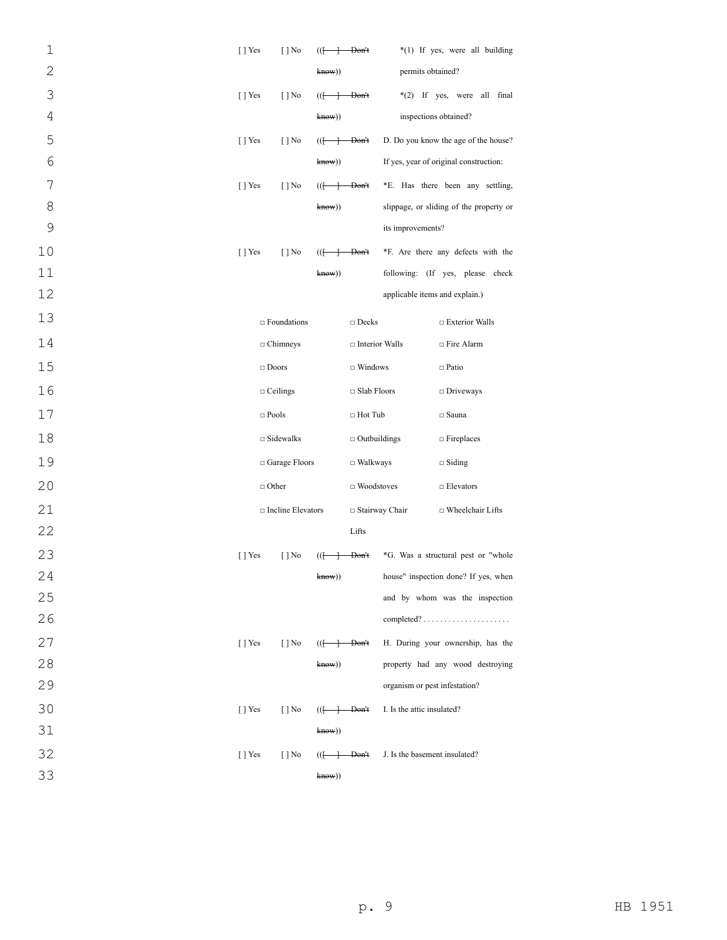| $\mathbf 1$    | $[$ T Yes |                 | $[ ]$ No                 | $((\longleftarrow \longleftarrow \text{Don't})$ |                       |                                | *(1) If yes, were all building          |
|----------------|-----------|-----------------|--------------------------|-------------------------------------------------|-----------------------|--------------------------------|-----------------------------------------|
| $\mathbf{2}$   |           |                 |                          | kmow)                                           |                       | permits obtained?              |                                         |
| 3              | $[$ T Yes |                 | $[$ ] No                 | $((\longleftarrow]$ Don't                       |                       |                                | *(2) If yes, were all final             |
| $\overline{4}$ |           |                 |                          | knew)                                           |                       |                                | inspections obtained?                   |
| 5              | [] Yes    |                 | $[ ]$ No                 | $((\longleftarrow]$ Don't                       |                       |                                | D. Do you know the age of the house?    |
| 6              |           |                 |                          | kmow)                                           |                       |                                | If yes, year of original construction:  |
| 7              | $[$ T Yes |                 | $\lceil \cdot \rceil$ No | $((\longleftarrow \longleftarrow \text{Don't})$ |                       |                                | *E. Has there been any settling,        |
| 8              |           |                 |                          | $k_{\text{now}}$ )                              |                       |                                | slippage, or sliding of the property or |
| 9              |           |                 |                          |                                                 |                       | its improvements?              |                                         |
| 10             | $[$ T Yes |                 | $[$ ] No                 | $((\longleftarrow]$ Don't                       |                       |                                | *F. Are there any defects with the      |
| 11             |           |                 |                          | $k_{\text{new}}$ )                              |                       |                                | following: (If yes, please check        |
| 12             |           |                 |                          |                                                 |                       | applicable items and explain.) |                                         |
| 13             |           |                 | $\Box$ Foundations       |                                                 | $\Box$ Decks          |                                | □ Exterior Walls                        |
| 14             |           |                 | □ Chimneys               |                                                 | □ Interior Walls      |                                | □ Fire Alarm                            |
| 15             |           | $\Box$ Doors    |                          |                                                 | $\Box$ Windows        |                                | $\Box$ Patio                            |
| 16             |           | $\Box$ Ceilings |                          |                                                 | □ Slab Floors         |                                | $\Box$ Driveways                        |
| 17             |           | $\Box$ Pools    |                          |                                                 | $\Box$ Hot Tub        |                                | $\Box$ Sauna                            |
| 18             |           |                 | $\Box$ Sidewalks         |                                                 | $\Box$ Outbuildings   |                                | $\Box$ Fireplaces                       |
| 19             |           |                 | □ Garage Floors          |                                                 | $\Box$ Walkways       |                                | $\Box$ Siding                           |
| 20             |           | $\Box$ Other    |                          |                                                 | $\Box$ Woodstoves     |                                | $\Box$ Elevators                        |
| 21             |           |                 | □ Incline Elevators      |                                                 | $\Box$ Stairway Chair |                                | □ Wheelchair Lifts                      |
| 22             |           |                 |                          |                                                 | Lifts                 |                                |                                         |
| 23             | $[$ T Yes |                 | $[$ No                   | $((\longleftarrow]$ Don't                       |                       |                                | *G. Was a structural pest or "whole     |
| 24             |           |                 |                          | know))                                          |                       |                                | house" inspection done? If yes, when    |
| 25             |           |                 |                          |                                                 |                       |                                | and by whom was the inspection          |
| 26             |           |                 |                          |                                                 |                       |                                |                                         |
| 27             | $[$ T Yes |                 | $[$ ] No                 | $((\longleftarrow]$ Don't                       |                       |                                | H. During your ownership, has the       |
| 28             |           |                 |                          | kmow)                                           |                       |                                | property had any wood destroying        |
| 29             |           |                 |                          |                                                 |                       | organism or pest infestation?  |                                         |
| 30             | $[$ T Yes |                 | $\lceil \cdot \rceil$ No | $((\longleftarrow \longleftarrow \text{Don't})$ |                       | I. Is the attic insulated?     |                                         |
| 31             |           |                 |                          | $k_{\text{new}}$ )                              |                       |                                |                                         |
| 32             | $[$ T Yes |                 | $[ ]$ No                 | $((\longleftarrow]$ Don't                       |                       | J. Is the basement insulated?  |                                         |
| 33             |           |                 |                          | kmow)                                           |                       |                                |                                         |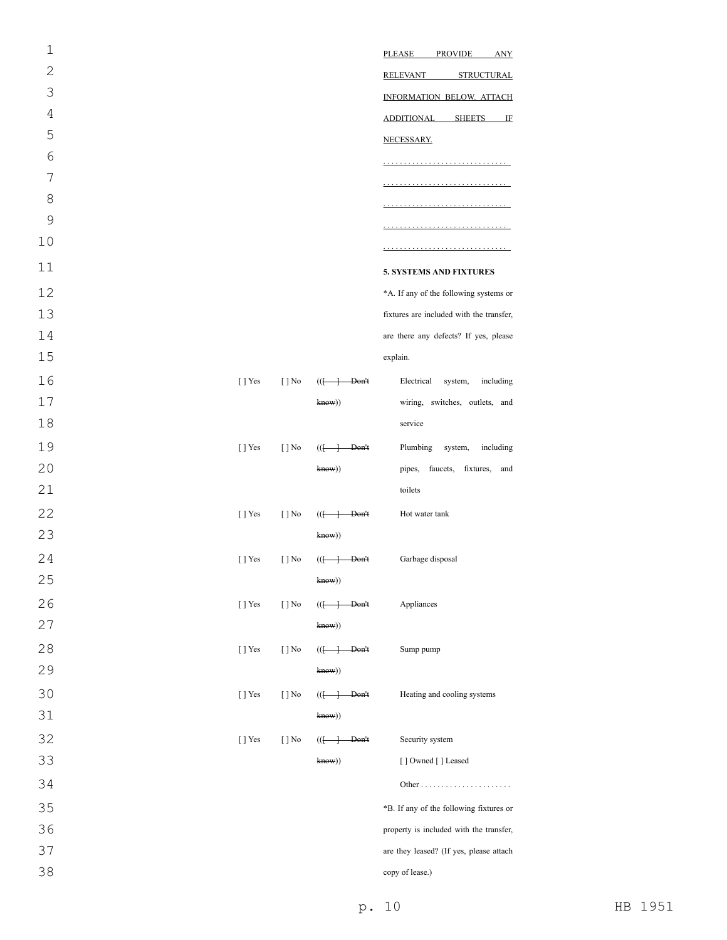| $1\,$          |                           |          |                            | PROVIDE ANY<br><b>PLEASE</b>             |
|----------------|---------------------------|----------|----------------------------|------------------------------------------|
| $\overline{2}$ |                           |          |                            | <b>RELEVANT</b><br><b>STRUCTURAL</b>     |
| 3              |                           |          |                            | INFORMATION BELOW. ATTACH                |
| $\sqrt{4}$     |                           |          |                            | IF<br><u>ADDITIONAL</u><br><b>SHEETS</b> |
| 5              |                           |          |                            | NECESSARY.                               |
| 6              |                           |          |                            |                                          |
| 7              |                           |          |                            |                                          |
| 8              |                           |          |                            |                                          |
| $\mathcal{G}$  |                           |          |                            |                                          |
| 10             |                           |          |                            |                                          |
| 11             |                           |          |                            | <b>5. SYSTEMS AND FIXTURES</b>           |
| 12             |                           |          |                            | *A. If any of the following systems or   |
| 13             |                           |          |                            | fixtures are included with the transfer, |
| 14             |                           |          |                            | are there any defects? If yes, please    |
| 15             |                           |          |                            | explain.                                 |
| 16             | $[$ ] Yes                 | $[ ]$ No | $((\Box)$ Don't            | Electrical<br>including<br>system,       |
| 17             |                           |          | kmow)                      | wiring, switches, outlets, and           |
| 18             |                           |          |                            | service                                  |
| 19             | [] Yes                    | $[ ]$ No | $((\longleftarrow]$ Don't  | Plumbing<br>system,<br>including         |
| 20             |                           |          | knew)                      | faucets,<br>pipes,<br>fixtures,<br>and   |
| 21             |                           |          |                            | toilets                                  |
| 22             | $\lceil \cdot \rceil$ Yes | $[ ]$ No | $((\longrightarrow)$ Don't | Hot water tank                           |
| 23             |                           |          | kmow)                      |                                          |
| 24             | $[$ T Yes                 | $[ ]$ No | $((\Box)$ Don't            | Garbage disposal                         |
| 25             |                           |          | kmow)                      |                                          |
| 26             | [ ] Yes                   | $[ ]$ No | $((\longrightarrow)$ Don't | Appliances                               |
| 27             |                           |          | knew)                      |                                          |
| 28             | [ ] Yes                   | $[ ]$ No | $((\longleftarrow]$ Don't  | Sump pump                                |
| 29             |                           |          | kmow)                      |                                          |
| 30             | [ ] Yes                   | $[ ]$ No | $((\longleftarrow]$ Don't  | Heating and cooling systems              |
| 31             |                           |          | kmow)                      |                                          |
| 32             | [ ] Yes                   | $[ ]$ No | $((\longrightarrow)$ Don't | Security system                          |
| 33             |                           |          | knew)                      | [] Owned [] Leased                       |
| 34             |                           |          |                            |                                          |
| 35             |                           |          |                            | *B. If any of the following fixtures or  |
| 36             |                           |          |                            | property is included with the transfer,  |
| 37             |                           |          |                            | are they leased? (If yes, please attach  |
| 38             |                           |          |                            | copy of lease.)                          |
|                |                           |          |                            |                                          |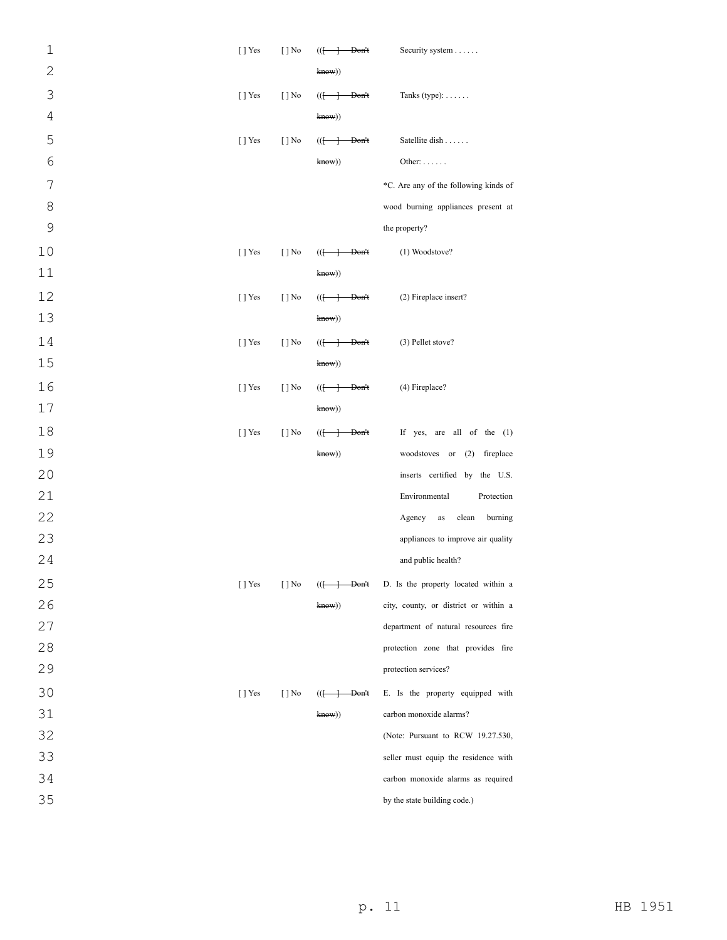| $\mathbf 1$    | [] Yes    | $\lceil \cdot \rceil$ No | $((\longleftarrow]$ Don't                                                                                                                                                                   | Security system                       |
|----------------|-----------|--------------------------|---------------------------------------------------------------------------------------------------------------------------------------------------------------------------------------------|---------------------------------------|
| $\overline{c}$ |           |                          | kmow)                                                                                                                                                                                       |                                       |
| 3              | $[$ T Yes | $[ ]$ No                 | $((\begin{matrix}\begin{matrix} \begin{matrix} \end{matrix} \\ \end{matrix} \end{matrix} \begin{matrix} \end{matrix} \begin{matrix} \end{matrix} \begin{matrix} \end{matrix} \end{matrix})$ | Tanks (type): $\dots$                 |
| $\sqrt{4}$     |           |                          | knew)                                                                                                                                                                                       |                                       |
| 5              | $[$ ] Yes | $[ ]$ No                 | $((\longleftarrow]$ Don't                                                                                                                                                                   | Satellite dish                        |
| $\sqrt{6}$     |           |                          | kmow)                                                                                                                                                                                       | Other: $\dots$                        |
| 7              |           |                          |                                                                                                                                                                                             | *C. Are any of the following kinds of |
| 8              |           |                          |                                                                                                                                                                                             | wood burning appliances present at    |
| 9              |           |                          |                                                                                                                                                                                             | the property?                         |
| 10             | [ ] Yes   | $[$ ] No                 | $((\Box)$ Don't                                                                                                                                                                             | (1) Woodstove?                        |
| 11             |           |                          | $k_{\text{new}}$ )                                                                                                                                                                          |                                       |
| 12             | [] Yes    | $[$ ] No                 | $((\longleftarrow]$ Don't                                                                                                                                                                   | (2) Fireplace insert?                 |
| 13             |           |                          | $k_{\text{new}}$ )                                                                                                                                                                          |                                       |
| 14             | $[$ T Yes | $[ ]$ No                 | $((\longleftarrow]$ Don't                                                                                                                                                                   | (3) Pellet stove?                     |
| 15             |           |                          | kmow)                                                                                                                                                                                       |                                       |
| 16             | $[$ T Yes | $[ ]$ No                 | $((\longleftarrow] \longrightarrow$ Don't                                                                                                                                                   | (4) Fireplace?                        |
| 17             |           |                          | kmow)                                                                                                                                                                                       |                                       |
| $18\,$         | $[ ]$ Yes | $[$ ] No                 | $((\longleftarrow]$ Don't                                                                                                                                                                   | If yes, are all of the (1)            |
| 19             |           |                          | knew)                                                                                                                                                                                       | woodstoves or (2) fireplace           |
| 20             |           |                          |                                                                                                                                                                                             | inserts certified by the U.S.         |
| 21             |           |                          |                                                                                                                                                                                             | Environmental<br>Protection           |
| 22             |           |                          |                                                                                                                                                                                             | Agency<br>as<br>clean<br>burning      |
| 23             |           |                          |                                                                                                                                                                                             | appliances to improve air quality     |
| 24             |           |                          |                                                                                                                                                                                             | and public health?                    |
| 25             | [ ] Yes   | $[ ]$ No                 | $((\boxed{\phantom{a}}$ Don't                                                                                                                                                               | D. Is the property located within a   |
| 26             |           |                          | $k_{\text{now}}$ )                                                                                                                                                                          | city, county, or district or within a |
| 27             |           |                          |                                                                                                                                                                                             | department of natural resources fire  |
| 28             |           |                          |                                                                                                                                                                                             | protection zone that provides fire    |
| 29             |           |                          |                                                                                                                                                                                             | protection services?                  |
| 30             | $[$ T Yes | $[$ ] No                 | $((\Box)$ Don't                                                                                                                                                                             | E. Is the property equipped with      |
| 31             |           |                          | $k_{\text{new}}$ )                                                                                                                                                                          | carbon monoxide alarms?               |
| 32             |           |                          |                                                                                                                                                                                             | (Note: Pursuant to RCW 19.27.530,     |
| 33             |           |                          |                                                                                                                                                                                             | seller must equip the residence with  |
| 34             |           |                          |                                                                                                                                                                                             | carbon monoxide alarms as required    |
| 35             |           |                          |                                                                                                                                                                                             | by the state building code.)          |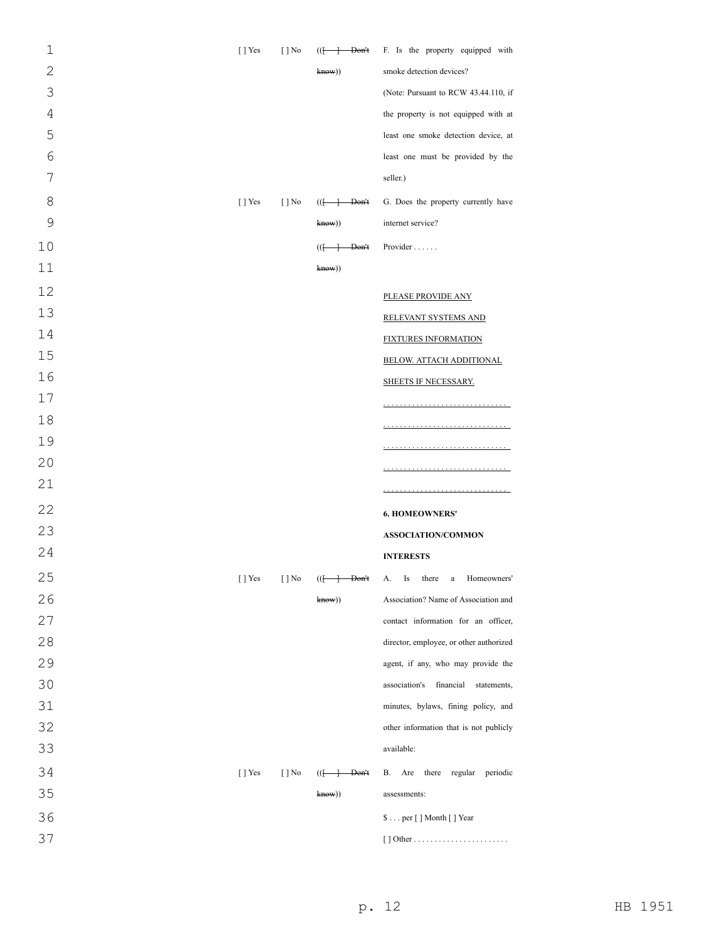| $\mathbf 1$    | [] Yes    | $[ ]$ No | $((\longleftarrow)$ Don't  | F. Is the property equipped with             |
|----------------|-----------|----------|----------------------------|----------------------------------------------|
| 2              |           |          | kmow)                      | smoke detection devices?                     |
| 3              |           |          |                            | (Note: Pursuant to RCW 43.44.110, if         |
| $\overline{4}$ |           |          |                            | the property is not equipped with at         |
| 5              |           |          |                            | least one smoke detection device, at         |
| 6              |           |          |                            | least one must be provided by the            |
| 7              |           |          |                            | seller.)                                     |
| 8              | [] Yes    | $[$ ] No | $((\Box)$ Don't            | G. Does the property currently have          |
| 9              |           |          | kmow)                      | internet service?                            |
| 10             |           |          | $((\longleftarrow]$ Don't  | Provider                                     |
| 11             |           |          | knew)                      |                                              |
| 12             |           |          |                            | PLEASE PROVIDE ANY                           |
| 13             |           |          |                            | RELEVANT SYSTEMS AND                         |
| 14             |           |          |                            | <b>FIXTURES INFORMATION</b>                  |
| 15             |           |          |                            | <b>BELOW. ATTACH ADDITIONAL</b>              |
| 16             |           |          |                            | <b>SHEETS IF NECESSARY.</b>                  |
| 17             |           |          |                            |                                              |
| 18             |           |          |                            |                                              |
| 19             |           |          |                            |                                              |
| 20             |           |          |                            |                                              |
| 21             |           |          |                            |                                              |
| 22             |           |          |                            | <b>6. HOMEOWNERS'</b>                        |
| 23             |           |          |                            | ASSOCIATION/COMMON                           |
| 24             |           |          |                            | <b>INTERESTS</b>                             |
| 25             | $[ ]$ Yes | $[ ]$ No | $((\longrightarrow)$ Don't | A.<br>Is<br>there<br>Homeowners'<br>$\rm{a}$ |
| 26             |           |          | kmow)                      | Association? Name of Association and         |
| 27             |           |          |                            | contact information for an officer,          |
| 28             |           |          |                            | director, employee, or other authorized      |
| 29             |           |          |                            | agent, if any, who may provide the           |
| 30             |           |          |                            | association's<br>financial<br>statements,    |
| 31             |           |          |                            | minutes, bylaws, fining policy, and          |
| 32             |           |          |                            | other information that is not publicly       |
| 33             |           |          |                            | available:                                   |
| 34             | $[$ T Yes | $[ ]$ No | $((\longleftarrow)$ Don't  | there regular periodic<br>В.<br>Are          |
| 35             |           |          | kmow)                      | assessments:                                 |
| 36             |           |          |                            | \$per [] Month [] Year                       |
| 37             |           |          |                            |                                              |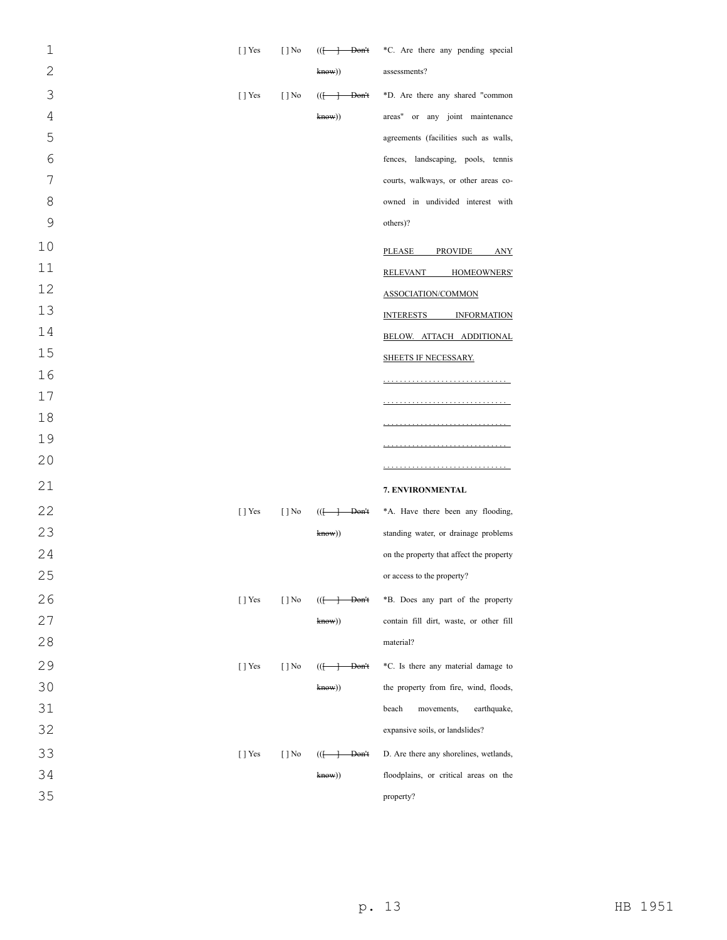| $\mathbf 1$     | [] Yes                    | $\lceil \cdot \rceil$ No | $((\longleftarrow \longleftarrow \text{Don't})$ | *C. Are there any pending special             |
|-----------------|---------------------------|--------------------------|-------------------------------------------------|-----------------------------------------------|
| $\overline{2}$  |                           |                          | kmow)                                           | assessments?                                  |
| 3               | $[$ T Yes                 | $[$ ] No                 | $((\longleftarrow]$ Don't                       | *D. Are there any shared "common              |
| $\sqrt{4}$      |                           |                          | kmow)                                           | areas" or any joint maintenance               |
| 5               |                           |                          |                                                 | agreements (facilities such as walls,         |
| $6\phantom{1}6$ |                           |                          |                                                 | fences, landscaping, pools, tennis            |
| 7               |                           |                          |                                                 | courts, walkways, or other areas co-          |
| 8               |                           |                          |                                                 | owned in undivided interest with              |
| 9               |                           |                          |                                                 | others)?                                      |
| 10              |                           |                          |                                                 | <b>PROVIDE</b><br><b>ANY</b><br><b>PLEASE</b> |
| 11              |                           |                          |                                                 | <b>RELEVANT</b><br>HOMEOWNERS'                |
| 12              |                           |                          |                                                 | ASSOCIATION/COMMON                            |
| 13              |                           |                          |                                                 | <b>INTERESTS</b><br><b>INFORMATION</b>        |
| 14              |                           |                          |                                                 | BELOW. ATTACH ADDITIONAL                      |
| 15              |                           |                          |                                                 | <b>SHEETS IF NECESSARY.</b>                   |
| 16              |                           |                          |                                                 |                                               |
| 17              |                           |                          |                                                 |                                               |
| 18              |                           |                          |                                                 |                                               |
| 19              |                           |                          |                                                 |                                               |
| 20              |                           |                          |                                                 |                                               |
| 21              |                           |                          |                                                 | 7. ENVIRONMENTAL                              |
| 22              | $\lceil \cdot \rceil$ Yes | $[$ ] No                 | $((\longrightarrow)$ Don't                      | *A. Have there been any flooding,             |
| 23              |                           |                          | kmow)                                           | standing water, or drainage problems          |
| 24              |                           |                          |                                                 | on the property that affect the property      |
| 25              |                           |                          |                                                 | or access to the property?                    |
| 26              | $[$ T Yes                 | $[$ ] No                 | $((\Box)$ Don't                                 | *B. Does any part of the property             |
| 27              |                           |                          | kmow)                                           | contain fill dirt, waste, or other fill       |
| 28              |                           |                          |                                                 | material?                                     |
| 29              | $[$ T Yes                 | $[ ]$ No                 | $((\leftarrow)$ Don't                           | *C. Is there any material damage to           |
| 30              |                           |                          | kmow)                                           | the property from fire, wind, floods,         |
| 31              |                           |                          |                                                 | beach<br>earthquake,<br>movements,            |
| 32              |                           |                          |                                                 | expansive soils, or landslides?               |
| 33              | $[$ T Yes                 | $[$ ] No                 | $((\longleftarrow]$ Don't                       | D. Are there any shorelines, wetlands,        |
| 34              |                           |                          | kmow)                                           | floodplains, or critical areas on the         |
| 35              |                           |                          |                                                 | property?                                     |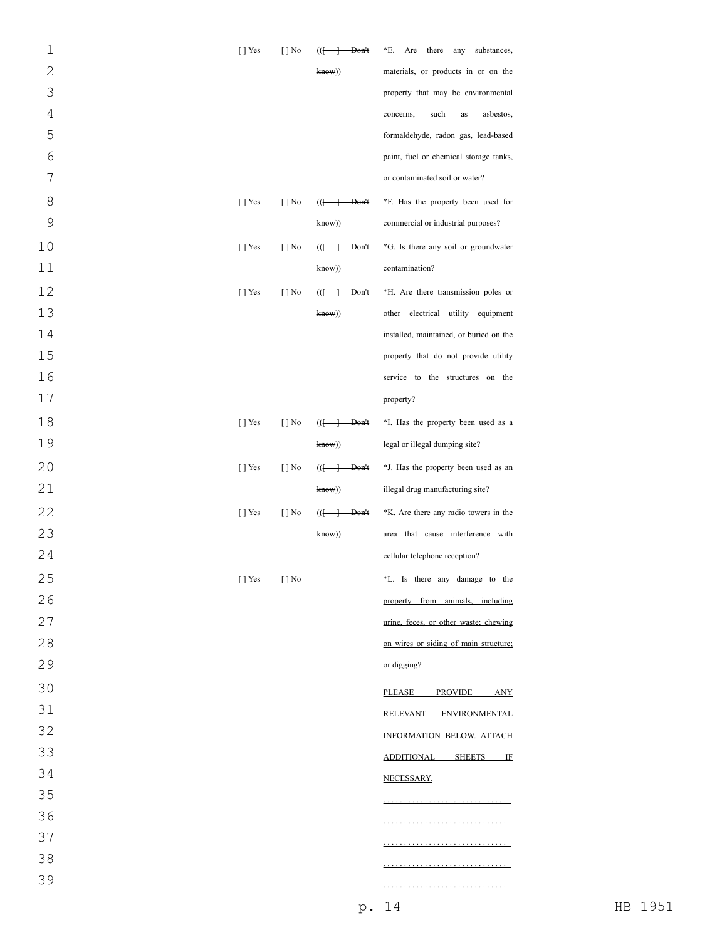| $\mathbf 1$    | [] Yes    | $[ ]$ No                 | $((\longleftarrow \longleftarrow \text{Don't})$ | *E.<br>Are there any<br>substances,           |
|----------------|-----------|--------------------------|-------------------------------------------------|-----------------------------------------------|
| $\overline{2}$ |           |                          | kmow)                                           | materials, or products in or on the           |
| 3              |           |                          |                                                 | property that may be environmental            |
| 4              |           |                          |                                                 | such<br>asbestos,<br>concerns,<br>as          |
| 5              |           |                          |                                                 | formaldehyde, radon gas, lead-based           |
| 6              |           |                          |                                                 | paint, fuel or chemical storage tanks,        |
| 7              |           |                          |                                                 | or contaminated soil or water?                |
| 8              | $[ ]$ Yes | $[ ]$ No                 | $((\Box)$ Don't                                 | *F. Has the property been used for            |
| 9              |           |                          | kmow)                                           | commercial or industrial purposes?            |
| 10             | $[$ T Yes | $[ ]$ No                 | $((\Box)$ Don't                                 | *G. Is there any soil or groundwater          |
| 11             |           |                          | knew)                                           | contamination?                                |
| 12             | $[ ]$ Yes | $[ ]$ No                 | $((\longleftarrow \longleftarrow \text{Don't})$ | *H. Are there transmission poles or           |
| 13             |           |                          | kmow)                                           | other electrical utility equipment            |
| 14             |           |                          |                                                 | installed, maintained, or buried on the       |
| 15             |           |                          |                                                 | property that do not provide utility          |
| 16             |           |                          |                                                 | service to the structures on the              |
| 17             |           |                          |                                                 | property?                                     |
| 18             | $[ ]$ Yes | $[ ]$ No                 | $((\longrightarrow)$ Don't                      | *I. Has the property been used as a           |
| 19             |           |                          | knew)                                           | legal or illegal dumping site?                |
| 20             | $[ ]$ Yes | $[ ]$ No                 | $((\Box)$ Don't                                 | *J. Has the property been used as an          |
| 21             |           |                          | kmow)                                           | illegal drug manufacturing site?              |
| 22             | $[ ]$ Yes | $\lceil \cdot \rceil$ No | $((\longleftarrow] \longrightarrow$ Don't       | *K. Are there any radio towers in the         |
| 23             |           |                          | kmow)                                           | area that cause interference with             |
| 24             |           |                          |                                                 | cellular telephone reception?                 |
| 25             | [] Yes    | $\Box$ No                |                                                 | *L. Is there any damage to the                |
| 26             |           |                          |                                                 | property from animals, including              |
| 27             |           |                          |                                                 | urine, feces, or other waste; chewing         |
| 28             |           |                          |                                                 | on wires or siding of main structure;         |
| 29             |           |                          |                                                 | or digging?                                   |
| 30             |           |                          |                                                 | <b>PLEASE</b><br><b>PROVIDE</b><br><b>ANY</b> |
| 31             |           |                          |                                                 | <b>RELEVANT</b><br><b>ENVIRONMENTAL</b>       |
| 32             |           |                          |                                                 | INFORMATION BELOW. ATTACH                     |
| 33             |           |                          |                                                 | <b>ADDITIONAL</b><br><b>SHEETS</b><br>IF      |
| 34             |           |                          |                                                 | NECESSARY.                                    |
| 35             |           |                          |                                                 |                                               |
| 36             |           |                          |                                                 |                                               |
| 37             |           |                          |                                                 |                                               |
| 38             |           |                          |                                                 |                                               |
| 39             |           |                          |                                                 |                                               |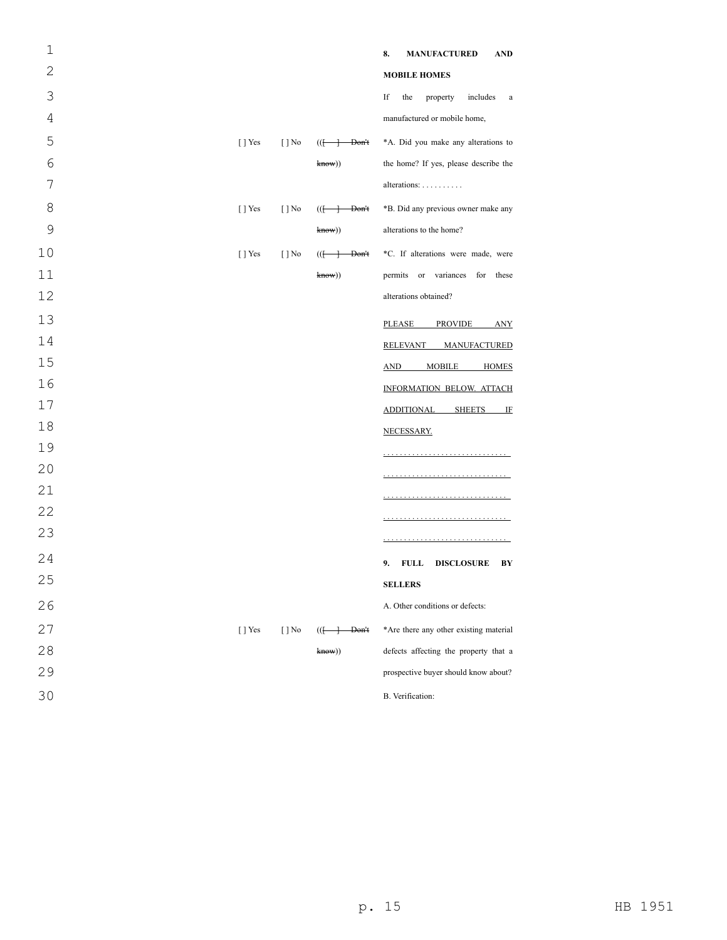| $\mathbf 1$    |                |                          |                                                 | 8.<br><b>MANUFACTURED</b><br><b>AND</b>       |
|----------------|----------------|--------------------------|-------------------------------------------------|-----------------------------------------------|
| $\mathbf{2}$   |                |                          |                                                 | <b>MOBILE HOMES</b>                           |
| 3              |                |                          |                                                 | If<br>property<br>includes<br>the<br>a        |
| $\overline{4}$ |                |                          |                                                 | manufactured or mobile home,                  |
| 5              | $[$ ] Yes      | $[$ ] No                 | $((\longrightarrow)$ Don't                      | *A. Did you make any alterations to           |
| 6              |                |                          | $k_{\text{new}}$ )                              | the home? If yes, please describe the         |
| 7              |                |                          |                                                 | alterations:                                  |
| 8              | $\lceil$   Yes | $\lceil \cdot \rceil$ No | $((\longleftarrow]$ Don't                       | *B. Did any previous owner make any           |
| $\mathcal{G}$  |                |                          | kmow)                                           | alterations to the home?                      |
| 10             | $\lceil$   Yes | $\lceil \cdot \rceil$ No | $((\longleftarrow \longleftarrow \text{Don't})$ | *C. If alterations were made, were            |
| 11             |                |                          | kmow)                                           | permits or variances for these                |
| 12             |                |                          |                                                 | alterations obtained?                         |
| 13             |                |                          |                                                 | <b>PLEASE</b><br><b>PROVIDE</b><br><b>ANY</b> |
| 14             |                |                          |                                                 | <b>RELEVANT</b><br><b>MANUFACTURED</b>        |
| 15             |                |                          |                                                 | AND<br><b>MOBILE</b><br><b>HOMES</b>          |
| 16             |                |                          |                                                 | INFORMATION BELOW. ATTACH                     |
| 17             |                |                          |                                                 | <u>ADDITIONAL</u><br><b>SHEETS</b><br>IF      |
| 18             |                |                          |                                                 | NECESSARY.                                    |
| 19             |                |                          |                                                 |                                               |
| 20             |                |                          |                                                 |                                               |
| 21             |                |                          |                                                 |                                               |
| 22             |                |                          |                                                 |                                               |
| 23             |                |                          |                                                 |                                               |
| 24             |                |                          |                                                 | 9.<br><b>FULL</b><br><b>DISCLOSURE</b><br>BY  |
| 25             |                |                          |                                                 | <b>SELLERS</b>                                |
| 26             |                |                          |                                                 | A. Other conditions or defects:               |
| 27             | [ ] Yes        | $[ ]$ No                 | $((\longrightarrow)$ Don't                      | *Are there any other existing material        |
| 28             |                |                          | $k_{\text{new}}$ )                              | defects affecting the property that a         |
| 29             |                |                          |                                                 | prospective buyer should know about?          |
| 30             |                |                          |                                                 | B. Verification:                              |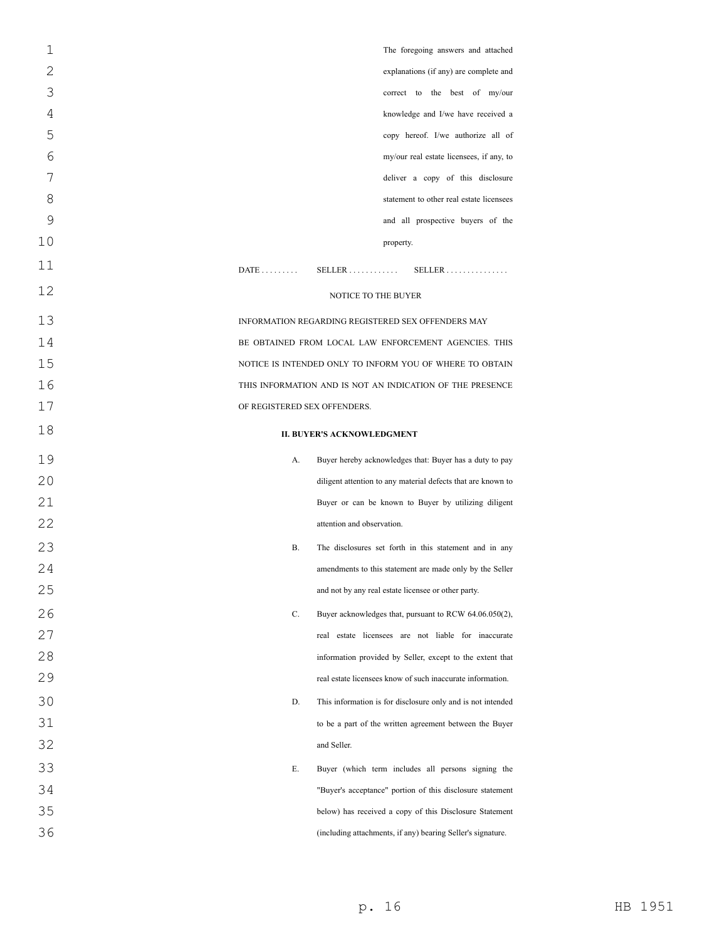| 1  | The foregoing answers and attached                                |
|----|-------------------------------------------------------------------|
| 2  | explanations (if any) are complete and                            |
| 3  | correct to the best of my/our                                     |
| 4  | knowledge and I/we have received a                                |
| 5  | copy hereof. I/we authorize all of                                |
| 6  | my/our real estate licensees, if any, to                          |
| 7  | deliver a copy of this disclosure                                 |
| 8  | statement to other real estate licensees                          |
| 9  | and all prospective buyers of the                                 |
| 10 | property.                                                         |
| 11 | SELLER<br>$DATE$<br>$SELECTR$                                     |
| 12 | <b>NOTICE TO THE BUYER</b>                                        |
| 13 | INFORMATION REGARDING REGISTERED SEX OFFENDERS MAY                |
| 14 | BE OBTAINED FROM LOCAL LAW ENFORCEMENT AGENCIES. THIS             |
| 15 | NOTICE IS INTENDED ONLY TO INFORM YOU OF WHERE TO OBTAIN          |
| 16 | THIS INFORMATION AND IS NOT AN INDICATION OF THE PRESENCE         |
| 17 | OF REGISTERED SEX OFFENDERS.                                      |
| 18 | <b>II. BUYER'S ACKNOWLEDGMENT</b>                                 |
| 19 | А.<br>Buyer hereby acknowledges that: Buyer has a duty to pay     |
| 20 | diligent attention to any material defects that are known to      |
| 21 | Buyer or can be known to Buyer by utilizing diligent              |
| 22 | attention and observation.                                        |
| 23 | В.<br>The disclosures set forth in this statement and in any      |
| 24 | amendments to this statement are made only by the Seller          |
| 25 | and not by any real estate licensee or other party.               |
| 26 | C.<br>Buyer acknowledges that, pursuant to RCW 64.06.050(2),      |
| 27 | real estate licensees are not liable for inaccurate               |
| 28 | information provided by Seller, except to the extent that         |
| 29 | real estate licensees know of such inaccurate information.        |
| 30 | D.<br>This information is for disclosure only and is not intended |
| 31 | to be a part of the written agreement between the Buyer           |
| 32 | and Seller.                                                       |
| 33 | Ε.<br>Buyer (which term includes all persons signing the          |
| 34 | "Buyer's acceptance" portion of this disclosure statement         |
| 35 | below) has received a copy of this Disclosure Statement           |
| 36 | (including attachments, if any) bearing Seller's signature.       |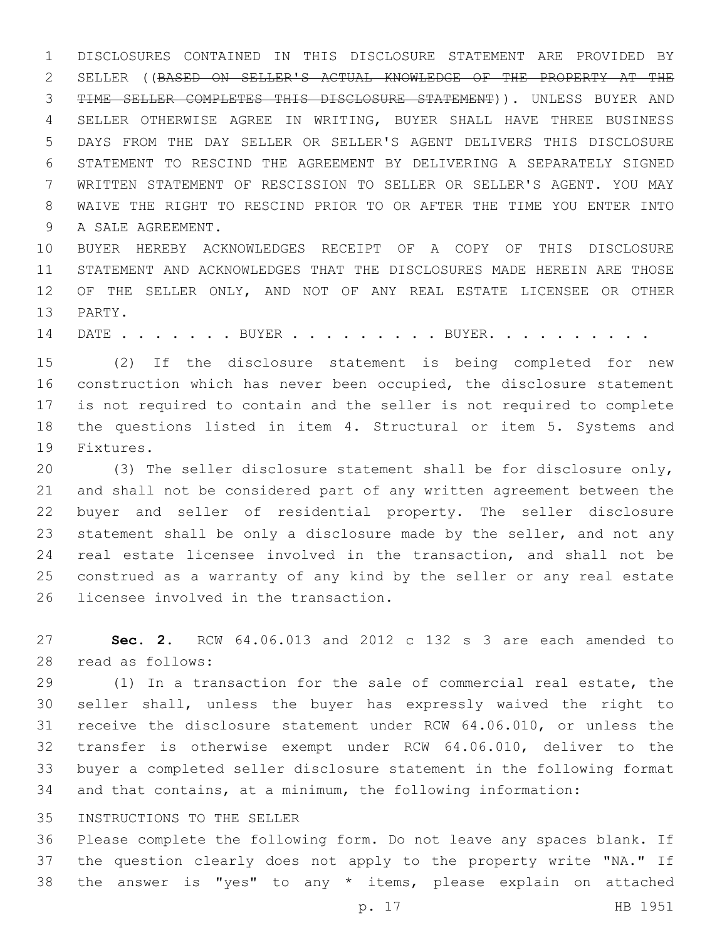DISCLOSURES CONTAINED IN THIS DISCLOSURE STATEMENT ARE PROVIDED BY SELLER ((BASED ON SELLER'S ACTUAL KNOWLEDGE OF THE PROPERTY AT THE TIME SELLER COMPLETES THIS DISCLOSURE STATEMENT)). UNLESS BUYER AND SELLER OTHERWISE AGREE IN WRITING, BUYER SHALL HAVE THREE BUSINESS DAYS FROM THE DAY SELLER OR SELLER'S AGENT DELIVERS THIS DISCLOSURE STATEMENT TO RESCIND THE AGREEMENT BY DELIVERING A SEPARATELY SIGNED WRITTEN STATEMENT OF RESCISSION TO SELLER OR SELLER'S AGENT. YOU MAY WAIVE THE RIGHT TO RESCIND PRIOR TO OR AFTER THE TIME YOU ENTER INTO 9 A SALE AGREEMENT.

 BUYER HEREBY ACKNOWLEDGES RECEIPT OF A COPY OF THIS DISCLOSURE STATEMENT AND ACKNOWLEDGES THAT THE DISCLOSURES MADE HEREIN ARE THOSE OF THE SELLER ONLY, AND NOT OF ANY REAL ESTATE LICENSEE OR OTHER 13 PARTY.

14 DATE . . . . . . BUYER . . . . . . . . BUYER. . . . . . . . . .

 (2) If the disclosure statement is being completed for new construction which has never been occupied, the disclosure statement is not required to contain and the seller is not required to complete the questions listed in item 4. Structural or item 5. Systems and 19 Fixtures.

 (3) The seller disclosure statement shall be for disclosure only, and shall not be considered part of any written agreement between the buyer and seller of residential property. The seller disclosure 23 statement shall be only a disclosure made by the seller, and not any real estate licensee involved in the transaction, and shall not be construed as a warranty of any kind by the seller or any real estate 26 licensee involved in the transaction.

 **Sec. 2.** RCW 64.06.013 and 2012 c 132 s 3 are each amended to read as follows:28

 (1) In a transaction for the sale of commercial real estate, the seller shall, unless the buyer has expressly waived the right to receive the disclosure statement under RCW 64.06.010, or unless the transfer is otherwise exempt under RCW 64.06.010, deliver to the buyer a completed seller disclosure statement in the following format and that contains, at a minimum, the following information:

35 INSTRUCTIONS TO THE SELLER

 Please complete the following form. Do not leave any spaces blank. If 37 the question clearly does not apply to the property write "NA." If the answer is "yes" to any \* items, please explain on attached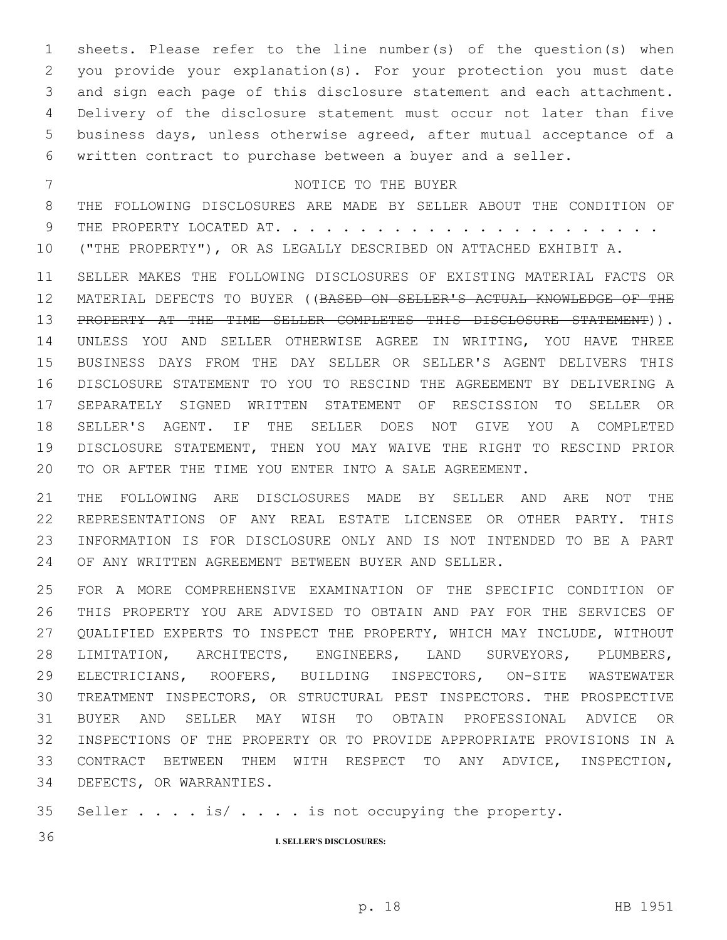sheets. Please refer to the line number(s) of the question(s) when you provide your explanation(s). For your protection you must date and sign each page of this disclosure statement and each attachment. Delivery of the disclosure statement must occur not later than five business days, unless otherwise agreed, after mutual acceptance of a written contract to purchase between a buyer and a seller.

T A ROTE OF THE BUYER TO THE BUYER THE FOLLOWING DISCLOSURES ARE MADE BY SELLER ABOUT THE CONDITION OF THE PROPERTY LOCATED AT. . . . . . . . . . . . . . . . . . . . . . . ("THE PROPERTY"), OR AS LEGALLY DESCRIBED ON ATTACHED EXHIBIT A. SELLER MAKES THE FOLLOWING DISCLOSURES OF EXISTING MATERIAL FACTS OR 12 MATERIAL DEFECTS TO BUYER ((<del>BASED ON SELLER'S ACTUAL KNOWLEDGE OF THE</del> 13 PROPERTY AT THE TIME SELLER COMPLETES THIS DISCLOSURE STATEMENT)). UNLESS YOU AND SELLER OTHERWISE AGREE IN WRITING, YOU HAVE THREE BUSINESS DAYS FROM THE DAY SELLER OR SELLER'S AGENT DELIVERS THIS DISCLOSURE STATEMENT TO YOU TO RESCIND THE AGREEMENT BY DELIVERING A SEPARATELY SIGNED WRITTEN STATEMENT OF RESCISSION TO SELLER OR SELLER'S AGENT. IF THE SELLER DOES NOT GIVE YOU A COMPLETED DISCLOSURE STATEMENT, THEN YOU MAY WAIVE THE RIGHT TO RESCIND PRIOR TO OR AFTER THE TIME YOU ENTER INTO A SALE AGREEMENT.

 THE FOLLOWING ARE DISCLOSURES MADE BY SELLER AND ARE NOT THE REPRESENTATIONS OF ANY REAL ESTATE LICENSEE OR OTHER PARTY. THIS INFORMATION IS FOR DISCLOSURE ONLY AND IS NOT INTENDED TO BE A PART OF ANY WRITTEN AGREEMENT BETWEEN BUYER AND SELLER.

 FOR A MORE COMPREHENSIVE EXAMINATION OF THE SPECIFIC CONDITION OF THIS PROPERTY YOU ARE ADVISED TO OBTAIN AND PAY FOR THE SERVICES OF QUALIFIED EXPERTS TO INSPECT THE PROPERTY, WHICH MAY INCLUDE, WITHOUT LIMITATION, ARCHITECTS, ENGINEERS, LAND SURVEYORS, PLUMBERS, ELECTRICIANS, ROOFERS, BUILDING INSPECTORS, ON-SITE WASTEWATER TREATMENT INSPECTORS, OR STRUCTURAL PEST INSPECTORS. THE PROSPECTIVE BUYER AND SELLER MAY WISH TO OBTAIN PROFESSIONAL ADVICE OR INSPECTIONS OF THE PROPERTY OR TO PROVIDE APPROPRIATE PROVISIONS IN A CONTRACT BETWEEN THEM WITH RESPECT TO ANY ADVICE, INSPECTION, 34 DEFECTS, OR WARRANTIES.

35 Seller  $\ldots$  . is/  $\ldots$  . is not occupying the property.

**I. SELLER'S DISCLOSURES:**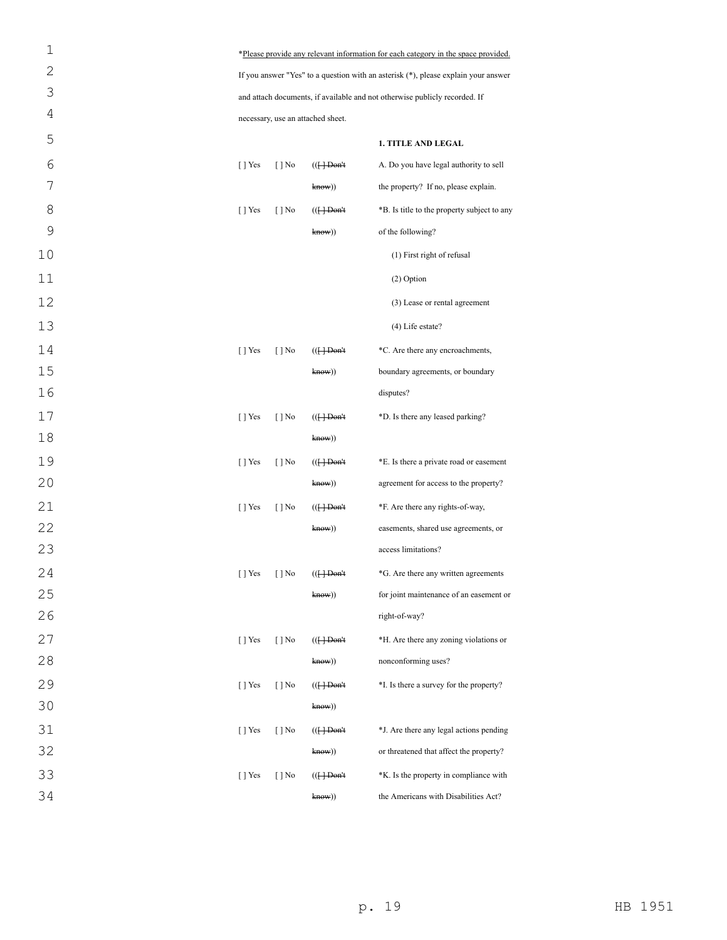| 1              |                                                                                       |                          |                                            | *Please provide any relevant information for each category in the space provided. |  |  |  |
|----------------|---------------------------------------------------------------------------------------|--------------------------|--------------------------------------------|-----------------------------------------------------------------------------------|--|--|--|
| $\overline{2}$ | If you answer "Yes" to a question with an asterisk $(*)$ , please explain your answer |                          |                                            |                                                                                   |  |  |  |
| 3              | and attach documents, if available and not otherwise publicly recorded. If            |                          |                                            |                                                                                   |  |  |  |
| 4              | necessary, use an attached sheet.                                                     |                          |                                            |                                                                                   |  |  |  |
| 5              |                                                                                       |                          |                                            | <b>1. TITLE AND LEGAL</b>                                                         |  |  |  |
| 6              | $\lceil$   Yes                                                                        | $\lceil \cdot \rceil$ No | $((\Box P \rightarrow \Diamond P))$        | A. Do you have legal authority to sell                                            |  |  |  |
| 7              |                                                                                       |                          | knew)                                      | the property? If no, please explain.                                              |  |  |  |
| 8              | $\lceil$   Yes                                                                        | $\lceil \cdot \rceil$ No | $((\Box$ Don't                             | *B. Is title to the property subject to any                                       |  |  |  |
| 9              |                                                                                       |                          | kmow)                                      | of the following?                                                                 |  |  |  |
| 10             |                                                                                       |                          |                                            | (1) First right of refusal                                                        |  |  |  |
| 11             |                                                                                       |                          |                                            | (2) Option                                                                        |  |  |  |
| 12             |                                                                                       |                          |                                            | (3) Lease or rental agreement                                                     |  |  |  |
| 13             |                                                                                       |                          |                                            | (4) Life estate?                                                                  |  |  |  |
| 14             | [ ] Yes                                                                               | $\lceil \cdot \rceil$ No | $((\Box$ Don't                             | *C. Are there any encroachments,                                                  |  |  |  |
| 15             |                                                                                       |                          | knew)                                      | boundary agreements, or boundary                                                  |  |  |  |
| 16             |                                                                                       |                          |                                            | disputes?                                                                         |  |  |  |
| 17             | $\lceil$   Yes                                                                        | $\lceil \cdot \rceil$ No | $((\Box$ Don't                             | *D. Is there any leased parking?                                                  |  |  |  |
| 18             |                                                                                       |                          | kmow)                                      |                                                                                   |  |  |  |
| 19             | $\lceil$   Yes                                                                        | $\lceil \cdot \rceil$ No | $((\Box P \rightarrow \Box P))$            | *E. Is there a private road or easement                                           |  |  |  |
| 20             |                                                                                       |                          | knew)                                      | agreement for access to the property?                                             |  |  |  |
| 21             | $\lceil$   Yes                                                                        | $\lceil \cdot \rceil$ No | $((\Box P \rightarrow \Diamond P))$        | *F. Are there any rights-of-way,                                                  |  |  |  |
| 22             |                                                                                       |                          | knew)                                      | easements, shared use agreements, or                                              |  |  |  |
| 23             |                                                                                       |                          |                                            | access limitations?                                                               |  |  |  |
| 24             | [] Yes                                                                                | $[$   No                 | $((\leftarrow \text{+} \text{+} \text{+})$ | *G. Are there any written agreements                                              |  |  |  |
| 25             |                                                                                       |                          | kmow)                                      | for joint maintenance of an easement or                                           |  |  |  |
| 26             |                                                                                       |                          |                                            | right-of-way?                                                                     |  |  |  |
| 27             | $[$ T Yes                                                                             | $[ ]$ No                 | $((\Box$ Don't                             | *H. Are there any zoning violations or                                            |  |  |  |
| 28             |                                                                                       |                          | kmow)                                      | nonconforming uses?                                                               |  |  |  |
| 29             | $\lceil \cdot \rceil$ Yes                                                             | $[ ]$ No                 | $((\Box$ Don't                             | *I. Is there a survey for the property?                                           |  |  |  |
| 30             |                                                                                       |                          | $k_{\text{new}}$ )                         |                                                                                   |  |  |  |
| 31             | $[$ T Yes                                                                             | $[ ]$ No                 | $((\leftarrow \text{Don't})$               | *J. Are there any legal actions pending                                           |  |  |  |
| 32             |                                                                                       |                          | kmow)                                      | or threatened that affect the property?                                           |  |  |  |
| 33             | $[$ T Yes                                                                             | $[ ]$ No                 | $((\Box P \rightarrow \Box P))$            | *K. Is the property in compliance with                                            |  |  |  |
| 34             |                                                                                       |                          | kmow)                                      | the Americans with Disabilities Act?                                              |  |  |  |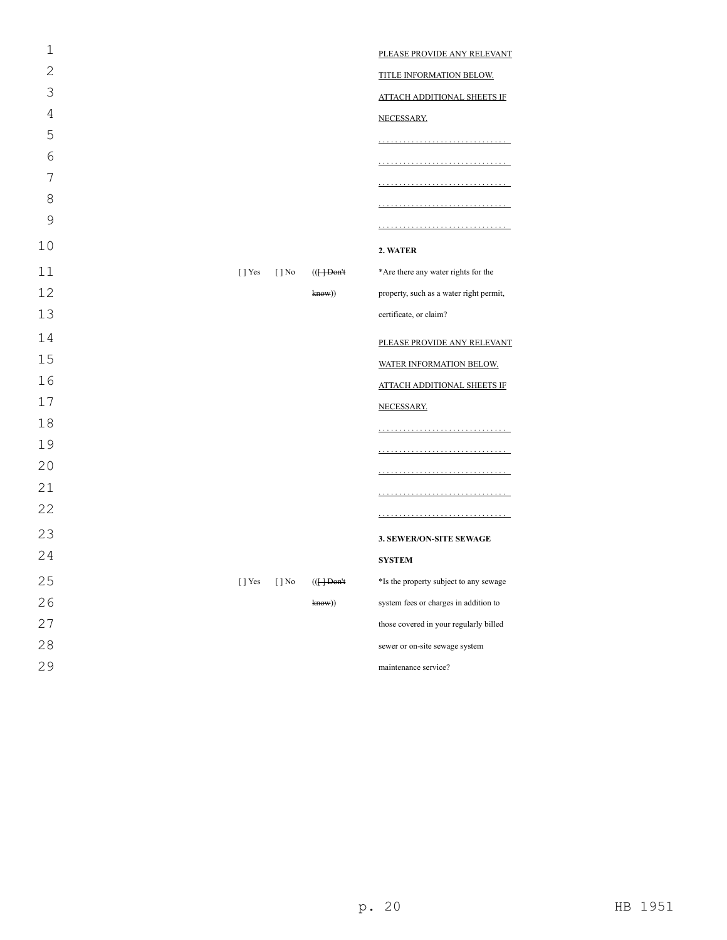| 1              |         |          |                    | PLEASE PROVIDE ANY RELEVANT             |
|----------------|---------|----------|--------------------|-----------------------------------------|
| $\overline{2}$ |         |          |                    | TITLE INFORMATION BELOW.                |
| 3              |         |          |                    | <b>ATTACH ADDITIONAL SHEETS IF</b>      |
| $\overline{4}$ |         |          |                    | NECESSARY.                              |
| 5              |         |          |                    |                                         |
| 6              |         |          |                    |                                         |
| 7              |         |          |                    |                                         |
| 8              |         |          |                    |                                         |
| 9              |         |          |                    |                                         |
| 10             |         |          |                    | 2. WATER                                |
| 11             | [] Yes  | $[ ]$ No | $((\Box$ Don't     | *Are there any water rights for the     |
| 12             |         |          | $k_{\text{new}}$ ) | property, such as a water right permit, |
| 13             |         |          |                    | certificate, or claim?                  |
| 14             |         |          |                    | PLEASE PROVIDE ANY RELEVANT             |
| 15             |         |          |                    | WATER INFORMATION BELOW.                |
| 16             |         |          |                    | <b>ATTACH ADDITIONAL SHEETS IF</b>      |
| 17             |         |          |                    | NECESSARY.                              |
| 18             |         |          |                    |                                         |
| 19             |         |          |                    |                                         |
| 20             |         |          |                    |                                         |
| 21             |         |          |                    |                                         |
| 22             |         |          |                    |                                         |
| 23             |         |          |                    | 3. SEWER/ON-SITE SEWAGE                 |
| 24             |         |          |                    | <b>SYSTEM</b>                           |
| 25             | [ ] Yes | $[ ]$ No | $((\Box$ Don't     | *Is the property subject to any sewage  |
| 26             |         |          | kmow)              | system fees or charges in addition to   |
| 27             |         |          |                    | those covered in your regularly billed  |
| 28             |         |          |                    | sewer or on-site sewage system          |
| 29             |         |          |                    | maintenance service?                    |
|                |         |          |                    |                                         |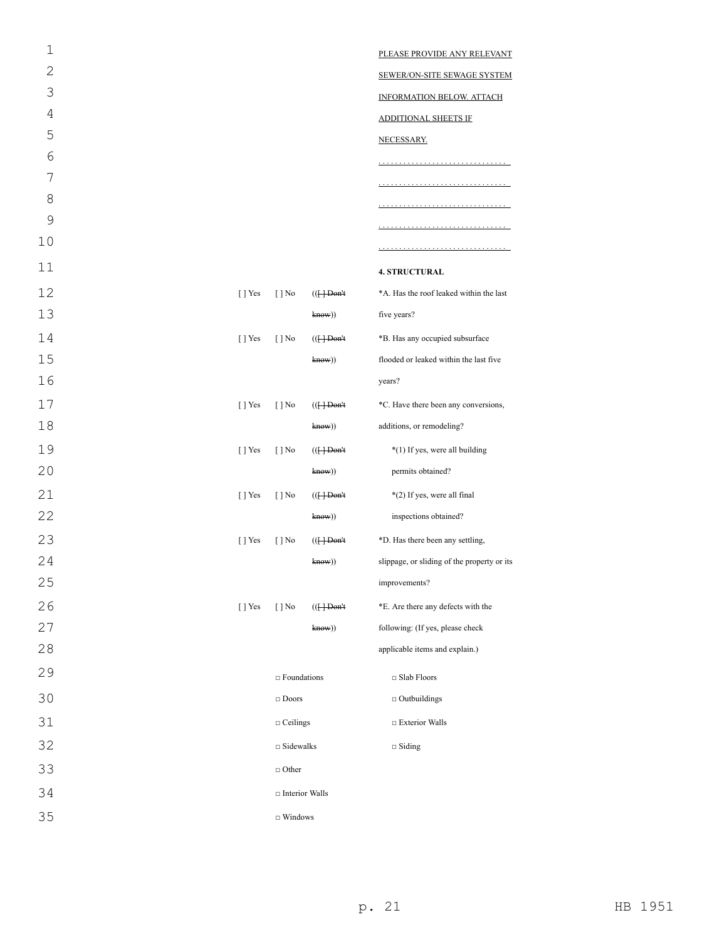| $\mathbf 1$    |           |                         |                         | PLEASE PROVIDE ANY RELEVANT                 |
|----------------|-----------|-------------------------|-------------------------|---------------------------------------------|
| $\overline{c}$ |           |                         |                         | SEWER/ON-SITE SEWAGE SYSTEM                 |
| 3              |           |                         |                         | INFORMATION BELOW. ATTACH                   |
| $\sqrt{4}$     |           |                         |                         | ADDITIONAL SHEETS IF                        |
| 5              |           |                         |                         | NECESSARY.                                  |
| $\epsilon$     |           |                         |                         |                                             |
| 7              |           |                         |                         |                                             |
| 8              |           |                         |                         |                                             |
| $\mathcal{G}$  |           |                         |                         |                                             |
| 10             |           |                         |                         |                                             |
| 11             |           |                         |                         | <b>4. STRUCTURAL</b>                        |
| 12             | $[ ]$ Yes | $[ ]$ No                | $((\leftarrow \}$ Don't | *A. Has the roof leaked within the last     |
| 13             |           |                         | kmow)                   | five years?                                 |
| 14             | [] Yes    | $[ ]$ No                | $((\Box$ Don't          | *B. Has any occupied subsurface             |
| 15             |           |                         | kmow)                   | flooded or leaked within the last five      |
| 16             |           |                         |                         | years?                                      |
| 17             | $[ ]$ Yes | $[ ]$ No                | $((\bigoplus$ Don't     | *C. Have there been any conversions,        |
| 18             |           |                         | kmow)                   | additions, or remodeling?                   |
| 19             | $[ ]$ Yes | $[ ]$ No                | $((\Box$ Don't          | *(1) If yes, were all building              |
| 20             |           |                         | kmow)                   | permits obtained?                           |
| 21             | [] Yes    | $[ ]$ No                | $((\Box$ Don't          | *(2) If yes, were all final                 |
| 22             |           |                         | kmow)                   | inspections obtained?                       |
| 23             | [] Yes    | $[$ ] No                | $((\Box$ Don't          | *D. Has there been any settling,            |
| 24             |           |                         | kmow)                   | slippage, or sliding of the property or its |
| 25             |           |                         |                         | improvements?                               |
| 26             | [] Yes    | $[ ]$ No                | $((\Box$ Don't          | *E. Are there any defects with the          |
| 27             |           |                         | $k_{\text{new}}$ )      | following: (If yes, please check            |
| 28             |           |                         |                         | applicable items and explain.)              |
| 29             |           | $\Box$ Foundations      |                         | $\Box$ Slab Floors                          |
| 30             |           | $\Box$ Doors            |                         | $\Box$ Outbuildings                         |
| 31             |           | $\Box$ Ceilings         |                         | $\Box$ Exterior Walls                       |
| 32             |           | $\hfill \Box$ Sidewalks |                         | $\Box$ Siding                               |
| 33             |           | $\Box$ Other            |                         |                                             |
| 34             |           | □ Interior Walls        |                         |                                             |
| 35             |           | $\hfill\Box$ Windows    |                         |                                             |
|                |           |                         |                         |                                             |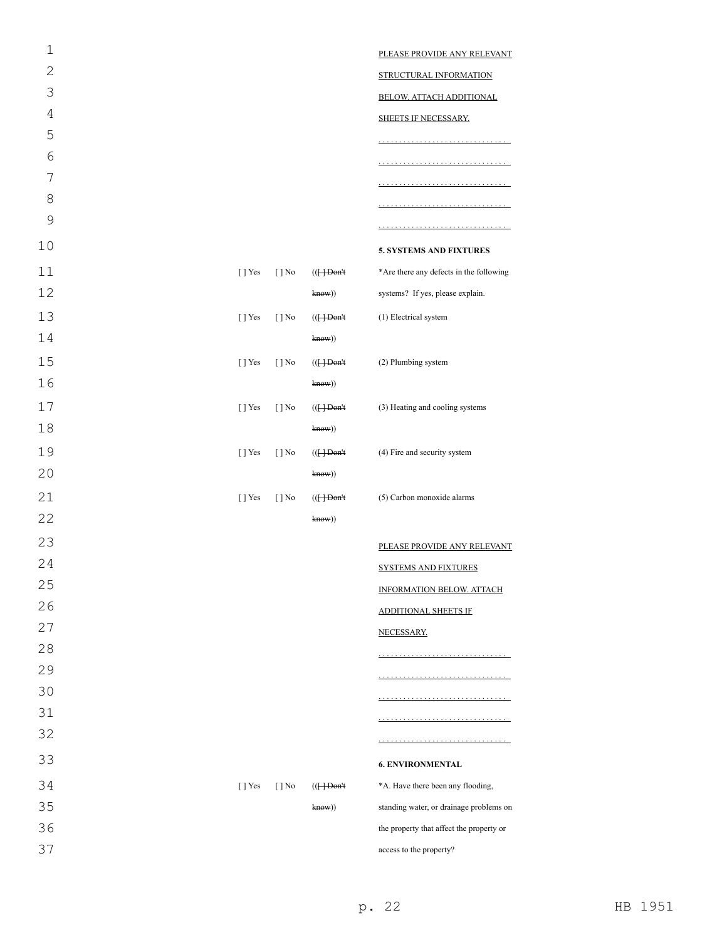| $\mathbf 1$    |           |          |                                    | PLEASE PROVIDE ANY RELEVANT              |
|----------------|-----------|----------|------------------------------------|------------------------------------------|
| $\overline{2}$ |           |          |                                    | STRUCTURAL INFORMATION                   |
| 3              |           |          |                                    | <b>BELOW. ATTACH ADDITIONAL</b>          |
| $\overline{4}$ |           |          |                                    | SHEETS IF NECESSARY.                     |
| 5              |           |          |                                    |                                          |
| 6              |           |          |                                    |                                          |
| 7              |           |          |                                    |                                          |
| 8              |           |          |                                    |                                          |
| $\mathsf 9$    |           |          |                                    |                                          |
| 10             |           |          |                                    | 5. SYSTEMS AND FIXTURES                  |
| 11             | [] Yes    | $[ ]$ No | $((\bigcup$ Don't                  | *Are there any defects in the following  |
| 12             |           |          | know))                             | systems? If yes, please explain.         |
| 13             | [] Yes    | $[ ]$ No | $((\Box$ Bon't                     | (1) Electrical system                    |
| 14             |           |          | know))                             |                                          |
| 15             | $[$ T Yes | $[ ]$ No | $((\Box P \rightarrow \Diamond P)$ | (2) Plumbing system                      |
| 16             |           |          | know))                             |                                          |
| 17             | [] Yes    | $[ ]$ No | $((\Box$ Don't                     | (3) Heating and cooling systems          |
| 18             |           |          | know))                             |                                          |
| 19             | $[$ T Yes | $[ ]$ No | $((\bigoplus$ Don't                | (4) Fire and security system             |
| 20             |           |          | know))                             |                                          |
| 21             | $[$ T Yes | $[ ]$ No | $((\Box$ Don't                     | (5) Carbon monoxide alarms               |
| 22             |           |          | know))                             |                                          |
| 23             |           |          |                                    | PLEASE PROVIDE ANY RELEVANT              |
| 24             |           |          |                                    | <b>SYSTEMS AND FIXTURES</b>              |
| 25             |           |          |                                    | INFORMATION BELOW. ATTACH                |
| 26             |           |          |                                    | <b>ADDITIONAL SHEETS IF</b>              |
| 27             |           |          |                                    | NECESSARY.                               |
| 28             |           |          |                                    |                                          |
| 29             |           |          |                                    |                                          |
| 30             |           |          |                                    |                                          |
| 31             |           |          |                                    |                                          |
| 32             |           |          |                                    |                                          |
| 33             |           |          |                                    | <b>6. ENVIRONMENTAL</b>                  |
| 34             | $[$ ] Yes | $[ ]$ No | $((\bigoplus$ Don't                | *A. Have there been any flooding,        |
| 35             |           |          | knew)                              | standing water, or drainage problems on  |
| 36             |           |          |                                    | the property that affect the property or |
| 37             |           |          |                                    | access to the property?                  |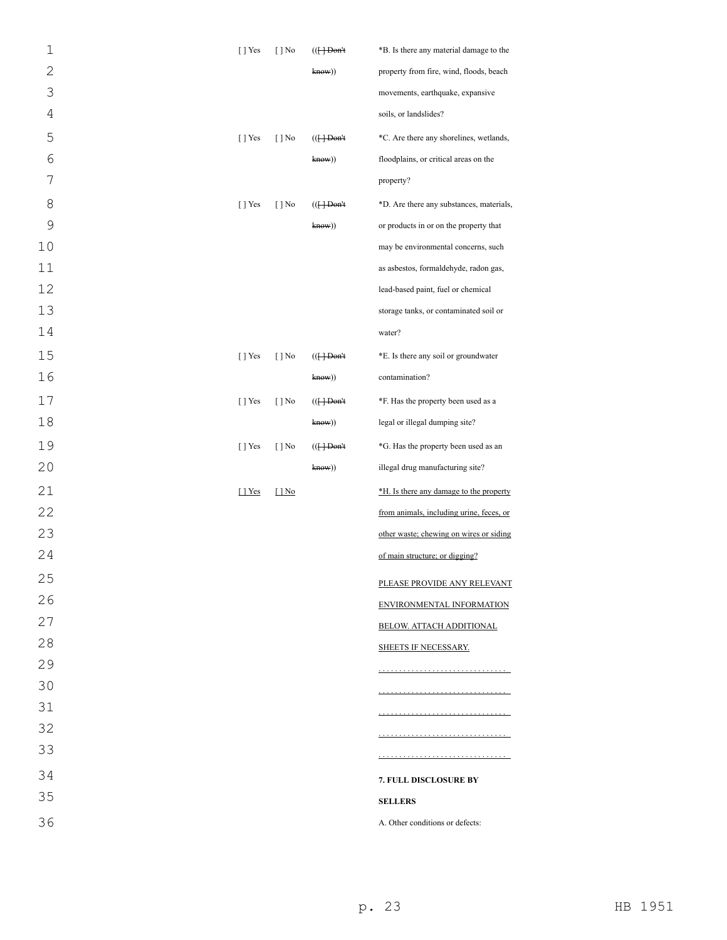| $\mathbf 1$    | $\lceil$   Yes | $\lceil \cdot \rceil$ No | $((\Box$ Don't     | *B. Is there any material damage to the  |
|----------------|----------------|--------------------------|--------------------|------------------------------------------|
| $\overline{2}$ |                |                          | know))             | property from fire, wind, floods, beach  |
| 3              |                |                          |                    | movements, earthquake, expansive         |
| 4              |                |                          |                    | soils, or landslides?                    |
| 5              | [ ] Yes        | $[ ]$ No                 | $((\Box$ Don't     | *C. Are there any shorelines, wetlands,  |
| 6              |                |                          | knew)              | floodplains, or critical areas on the    |
| 7              |                |                          |                    | property?                                |
| 8              | [ ] Yes        | $[ ]$ No                 | $((\Box$ Don't     | *D. Are there any substances, materials, |
| $\mathsf 9$    |                |                          | $k_{\text{new}}$ ) | or products in or on the property that   |
| 10             |                |                          |                    | may be environmental concerns, such      |
| 11             |                |                          |                    | as asbestos, formaldehyde, radon gas,    |
| 12             |                |                          |                    | lead-based paint, fuel or chemical       |
| 13             |                |                          |                    | storage tanks, or contaminated soil or   |
| 14             |                |                          |                    | water?                                   |
| 15             | $\lceil$   Yes | $[$   No                 | $((\Box$ Don't     | *E. Is there any soil or groundwater     |
| 16             |                |                          | kmow)              | contamination?                           |
| 17             | [ ] Yes        | $[ ]$ No                 | $((\Box$ Don't     | *F. Has the property been used as a      |
| 18             |                |                          | knew)              | legal or illegal dumping site?           |
| 19             | [ ] Yes        | $[ ]$ No                 | $((\Box$ Don't     | *G. Has the property been used as an     |
| 20             |                |                          | $k_{\text{new}}$ ) | illegal drug manufacturing site?         |
| 21             | $\Box$ Yes     | $\Box$ No                |                    | *H. Is there any damage to the property  |
| 22             |                |                          |                    | from animals, including urine, feces, or |
| 23             |                |                          |                    | other waste; chewing on wires or siding  |
| 24             |                |                          |                    | of main structure; or digging?           |
| 25             |                |                          |                    | PLEASE PROVIDE ANY RELEVANT              |
| 26             |                |                          |                    | ENVIRONMENTAL INFORMATION                |
| 27             |                |                          |                    | BELOW. ATTACH ADDITIONAL                 |
| 28             |                |                          |                    | SHEETS IF NECESSARY.                     |
| 29             |                |                          |                    |                                          |
| 30             |                |                          |                    |                                          |
| 31             |                |                          |                    |                                          |
| 32             |                |                          |                    |                                          |
| 33             |                |                          |                    |                                          |
| 34             |                |                          |                    | 7. FULL DISCLOSURE BY                    |
| 35             |                |                          |                    | <b>SELLERS</b>                           |
| 36             |                |                          |                    | A. Other conditions or defects:          |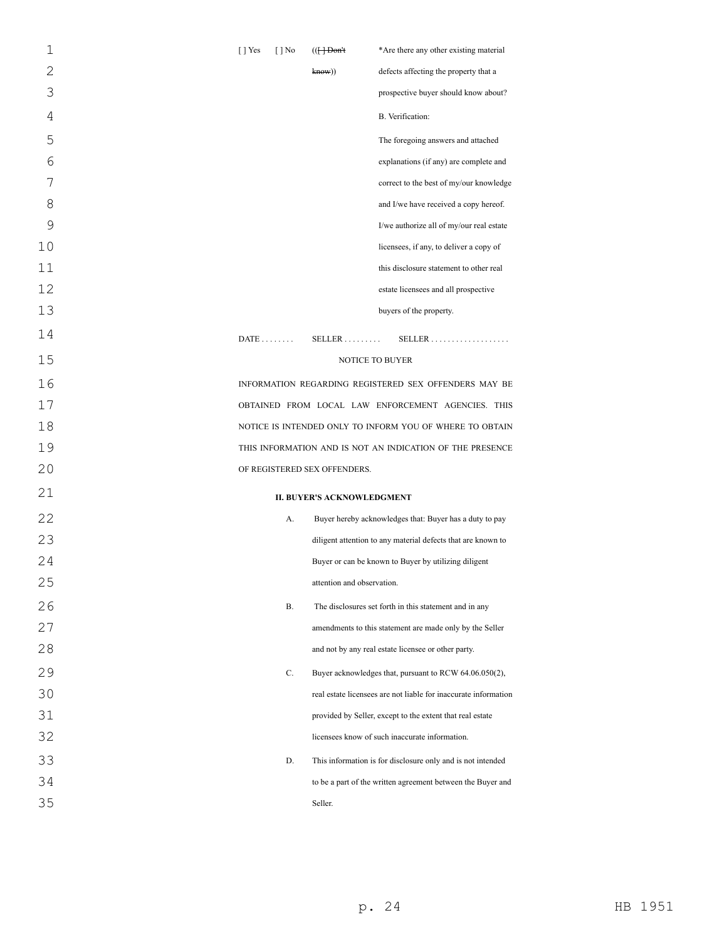| 1  | $\lceil \cdot \rceil$ Yes | $\lceil \cdot \rceil$ No | $((\Box P \rightarrow \Box P))$   | *Are there any other existing material                          |
|----|---------------------------|--------------------------|-----------------------------------|-----------------------------------------------------------------|
| 2  |                           |                          | kmow)                             | defects affecting the property that a                           |
| 3  |                           |                          |                                   | prospective buyer should know about?                            |
| 4  |                           |                          |                                   | B. Verification:                                                |
| 5  |                           |                          |                                   | The foregoing answers and attached                              |
| 6  |                           |                          |                                   | explanations (if any) are complete and                          |
| 7  |                           |                          |                                   | correct to the best of my/our knowledge                         |
| 8  |                           |                          |                                   | and I/we have received a copy hereof.                           |
| 9  |                           |                          |                                   | I/we authorize all of my/our real estate                        |
| 10 |                           |                          |                                   | licensees, if any, to deliver a copy of                         |
| 11 |                           |                          |                                   | this disclosure statement to other real                         |
| 12 |                           |                          |                                   | estate licensees and all prospective                            |
| 13 |                           |                          |                                   | buyers of the property.                                         |
| 14 | $DATE$                    |                          | $SELECT R$                        |                                                                 |
| 15 |                           |                          |                                   | NOTICE TO BUYER                                                 |
| 16 |                           |                          |                                   | INFORMATION REGARDING REGISTERED SEX OFFENDERS MAY BE           |
| 17 |                           |                          |                                   | OBTAINED FROM LOCAL LAW ENFORCEMENT AGENCIES. THIS              |
| 18 |                           |                          |                                   | NOTICE IS INTENDED ONLY TO INFORM YOU OF WHERE TO OBTAIN        |
| 19 |                           |                          |                                   | THIS INFORMATION AND IS NOT AN INDICATION OF THE PRESENCE       |
| 20 |                           |                          | OF REGISTERED SEX OFFENDERS.      |                                                                 |
| 21 |                           |                          | <b>II. BUYER'S ACKNOWLEDGMENT</b> |                                                                 |
| 22 |                           | А.                       |                                   | Buyer hereby acknowledges that: Buyer has a duty to pay         |
| 23 |                           |                          |                                   | diligent attention to any material defects that are known to    |
| 24 |                           |                          |                                   | Buyer or can be known to Buyer by utilizing diligent            |
| 25 |                           |                          | attention and observation.        |                                                                 |
| 26 |                           | <b>B.</b>                |                                   | The disclosures set forth in this statement and in any          |
| 27 |                           |                          |                                   | amendments to this statement are made only by the Seller        |
| 28 |                           |                          |                                   | and not by any real estate licensee or other party.             |
| 29 |                           | C.                       |                                   | Buyer acknowledges that, pursuant to RCW 64.06.050(2),          |
| 30 |                           |                          |                                   | real estate licensees are not liable for inaccurate information |
| 31 |                           |                          |                                   | provided by Seller, except to the extent that real estate       |
| 32 |                           |                          |                                   | licensees know of such inaccurate information.                  |
| 33 |                           | D.                       |                                   | This information is for disclosure only and is not intended     |
| 34 |                           |                          |                                   | to be a part of the written agreement between the Buyer and     |
| 35 |                           |                          | Seller.                           |                                                                 |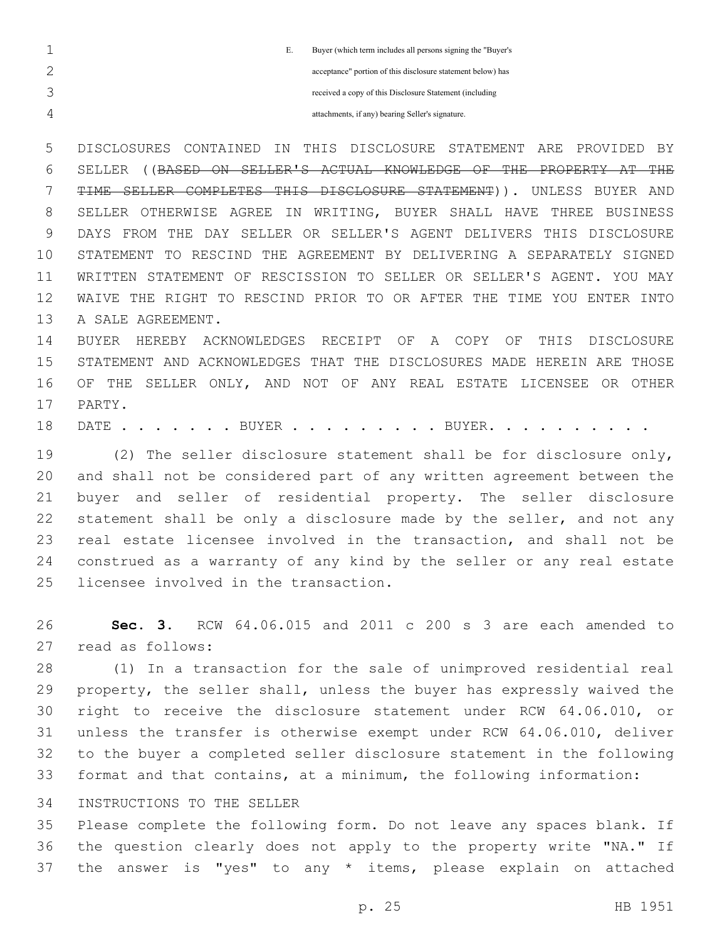|    | Е.<br>Buyer (which term includes all persons signing the "Buyer's                                                                                                  |  |  |  |  |  |  |  |
|----|--------------------------------------------------------------------------------------------------------------------------------------------------------------------|--|--|--|--|--|--|--|
|    | acceptance" portion of this disclosure statement below) has                                                                                                        |  |  |  |  |  |  |  |
|    | received a copy of this Disclosure Statement (including                                                                                                            |  |  |  |  |  |  |  |
|    | attachments, if any) bearing Seller's signature.                                                                                                                   |  |  |  |  |  |  |  |
|    |                                                                                                                                                                    |  |  |  |  |  |  |  |
| 5. | CONTAINED<br>THIS<br><b>DISCLOSURES</b><br>DISCLOSURE STATEMENT<br>ARE<br>PROVIDED BY<br>TN                                                                        |  |  |  |  |  |  |  |
| b  | <del>SELLER'S</del><br>ᅲᆸᇢ<br><b>BASED</b><br>θH<br><b>SELLER</b><br>$\pi$ $\cap$ $\pi$ t $\pi$ $\pi$<br>∩ᢑ<br>חמתה<br><u> ᅎ</u><br>∩תת<br><del>KNOWT</del><br>$+$ |  |  |  |  |  |  |  |
|    | 'MF<br>ᇭᆸ<br><del>STATEMENT</del><br>UNLESS<br>BUYER<br>AND<br>TITID<br><del>nuuuu</del><br><del>ULOGUUDGIU</del><br><del>THT</del><br><del>CONT THE LOC</del>     |  |  |  |  |  |  |  |

 SELLER OTHERWISE AGREE IN WRITING, BUYER SHALL HAVE THREE BUSINESS DAYS FROM THE DAY SELLER OR SELLER'S AGENT DELIVERS THIS DISCLOSURE STATEMENT TO RESCIND THE AGREEMENT BY DELIVERING A SEPARATELY SIGNED WRITTEN STATEMENT OF RESCISSION TO SELLER OR SELLER'S AGENT. YOU MAY WAIVE THE RIGHT TO RESCIND PRIOR TO OR AFTER THE TIME YOU ENTER INTO 13 A SALE AGREEMENT.

 BUYER HEREBY ACKNOWLEDGES RECEIPT OF A COPY OF THIS DISCLOSURE STATEMENT AND ACKNOWLEDGES THAT THE DISCLOSURES MADE HEREIN ARE THOSE OF THE SELLER ONLY, AND NOT OF ANY REAL ESTATE LICENSEE OR OTHER 17 PARTY.

18 DATE . . . . . . BUYER . . . . . . . . BUYER. . . .

 (2) The seller disclosure statement shall be for disclosure only, and shall not be considered part of any written agreement between the buyer and seller of residential property. The seller disclosure 22 statement shall be only a disclosure made by the seller, and not any real estate licensee involved in the transaction, and shall not be construed as a warranty of any kind by the seller or any real estate 25 licensee involved in the transaction.

 **Sec. 3.** RCW 64.06.015 and 2011 c 200 s 3 are each amended to 27 read as follows:

 (1) In a transaction for the sale of unimproved residential real property, the seller shall, unless the buyer has expressly waived the right to receive the disclosure statement under RCW 64.06.010, or unless the transfer is otherwise exempt under RCW 64.06.010, deliver to the buyer a completed seller disclosure statement in the following format and that contains, at a minimum, the following information:

34 INSTRUCTIONS TO THE SELLER

 Please complete the following form. Do not leave any spaces blank. If the question clearly does not apply to the property write "NA." If the answer is "yes" to any \* items, please explain on attached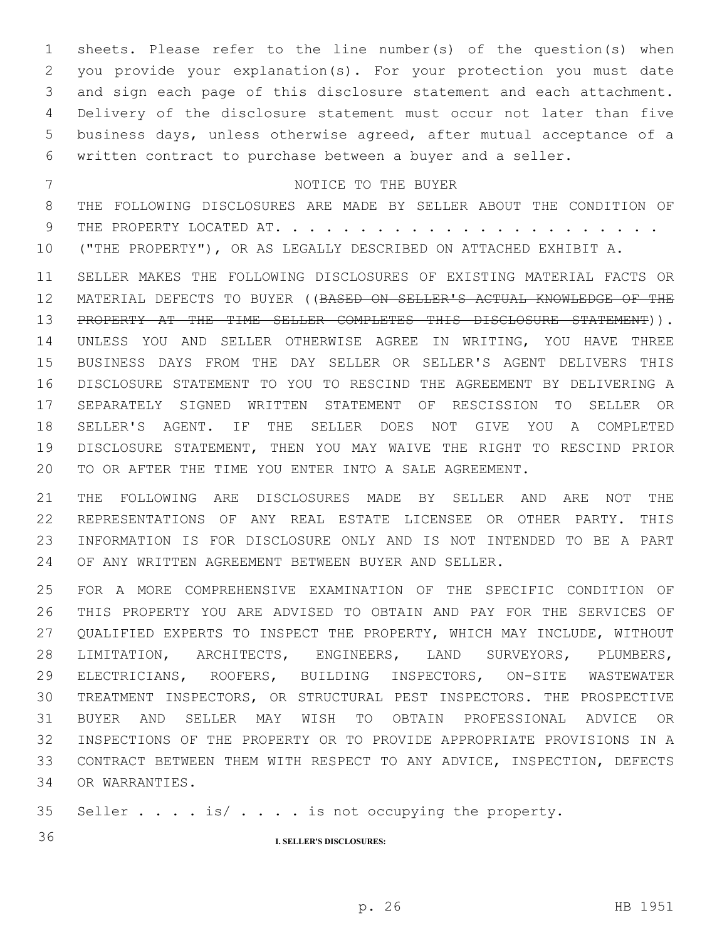sheets. Please refer to the line number(s) of the question(s) when you provide your explanation(s). For your protection you must date and sign each page of this disclosure statement and each attachment. Delivery of the disclosure statement must occur not later than five business days, unless otherwise agreed, after mutual acceptance of a written contract to purchase between a buyer and a seller.

T A ROTE OF THE BUYER TO THE BUYER THE FOLLOWING DISCLOSURES ARE MADE BY SELLER ABOUT THE CONDITION OF THE PROPERTY LOCATED AT. . . . . . . . . . . . . . . . . . . . . . . ("THE PROPERTY"), OR AS LEGALLY DESCRIBED ON ATTACHED EXHIBIT A. SELLER MAKES THE FOLLOWING DISCLOSURES OF EXISTING MATERIAL FACTS OR 12 MATERIAL DEFECTS TO BUYER ((<del>BASED ON SELLER'S ACTUAL KNOWLEDGE OF THE</del> 13 PROPERTY AT THE TIME SELLER COMPLETES THIS DISCLOSURE STATEMENT)). UNLESS YOU AND SELLER OTHERWISE AGREE IN WRITING, YOU HAVE THREE BUSINESS DAYS FROM THE DAY SELLER OR SELLER'S AGENT DELIVERS THIS DISCLOSURE STATEMENT TO YOU TO RESCIND THE AGREEMENT BY DELIVERING A SEPARATELY SIGNED WRITTEN STATEMENT OF RESCISSION TO SELLER OR SELLER'S AGENT. IF THE SELLER DOES NOT GIVE YOU A COMPLETED DISCLOSURE STATEMENT, THEN YOU MAY WAIVE THE RIGHT TO RESCIND PRIOR TO OR AFTER THE TIME YOU ENTER INTO A SALE AGREEMENT.

 THE FOLLOWING ARE DISCLOSURES MADE BY SELLER AND ARE NOT THE REPRESENTATIONS OF ANY REAL ESTATE LICENSEE OR OTHER PARTY. THIS INFORMATION IS FOR DISCLOSURE ONLY AND IS NOT INTENDED TO BE A PART OF ANY WRITTEN AGREEMENT BETWEEN BUYER AND SELLER.

 FOR A MORE COMPREHENSIVE EXAMINATION OF THE SPECIFIC CONDITION OF THIS PROPERTY YOU ARE ADVISED TO OBTAIN AND PAY FOR THE SERVICES OF QUALIFIED EXPERTS TO INSPECT THE PROPERTY, WHICH MAY INCLUDE, WITHOUT LIMITATION, ARCHITECTS, ENGINEERS, LAND SURVEYORS, PLUMBERS, ELECTRICIANS, ROOFERS, BUILDING INSPECTORS, ON-SITE WASTEWATER TREATMENT INSPECTORS, OR STRUCTURAL PEST INSPECTORS. THE PROSPECTIVE BUYER AND SELLER MAY WISH TO OBTAIN PROFESSIONAL ADVICE OR INSPECTIONS OF THE PROPERTY OR TO PROVIDE APPROPRIATE PROVISIONS IN A CONTRACT BETWEEN THEM WITH RESPECT TO ANY ADVICE, INSPECTION, DEFECTS 34 OR WARRANTIES.

35 Seller  $\ldots$  . is/  $\ldots$  . is not occupying the property.

**I. SELLER'S DISCLOSURES:**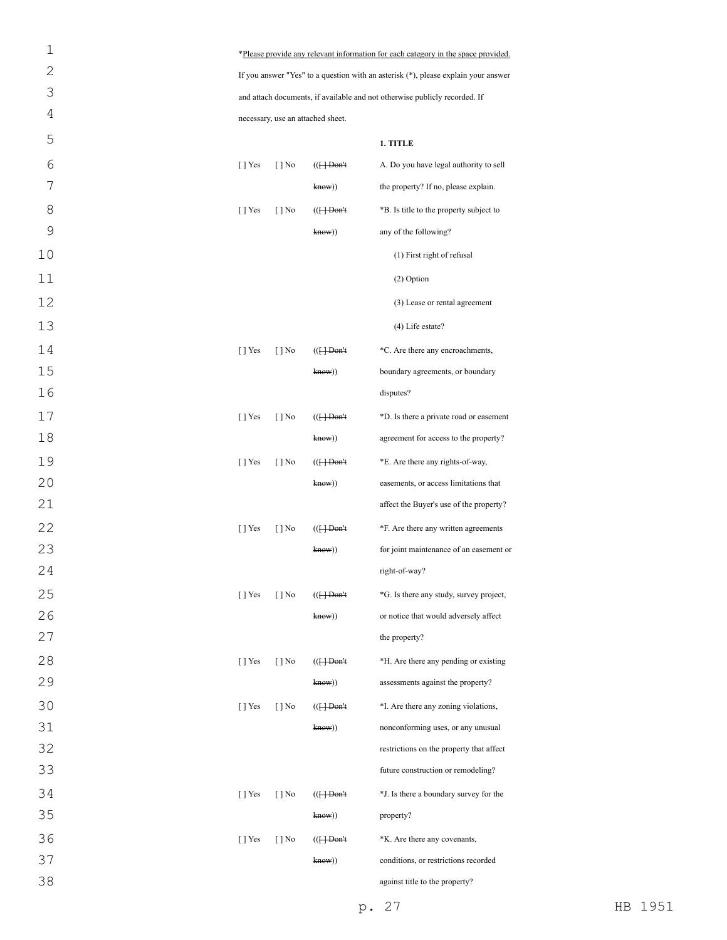| $\mathbf 1$    | *Please provide any relevant information for each category in the space provided. |                                                                                       |                                    |                                          |  |  |  |  |  |
|----------------|-----------------------------------------------------------------------------------|---------------------------------------------------------------------------------------|------------------------------------|------------------------------------------|--|--|--|--|--|
| $\overline{2}$ |                                                                                   | If you answer "Yes" to a question with an asterisk $(*)$ , please explain your answer |                                    |                                          |  |  |  |  |  |
| 3              |                                                                                   | and attach documents, if available and not otherwise publicly recorded. If            |                                    |                                          |  |  |  |  |  |
| 4              |                                                                                   |                                                                                       | necessary, use an attached sheet.  |                                          |  |  |  |  |  |
| 5              |                                                                                   |                                                                                       |                                    | 1. TITLE                                 |  |  |  |  |  |
| 6              | $\lceil \cdot \rceil$ Yes                                                         | $\lceil \cdot \rceil$ No                                                              | $((\Box P \rightarrow \Box P))$    | A. Do you have legal authority to sell   |  |  |  |  |  |
| 7              |                                                                                   |                                                                                       | know))                             | the property? If no, please explain.     |  |  |  |  |  |
| 8              | $[$ T Yes                                                                         | $[ ]$ No                                                                              | $((\leftarrow)$ Don't              | *B. Is title to the property subject to  |  |  |  |  |  |
| 9              |                                                                                   |                                                                                       | $k_{\text{now}}$ )                 | any of the following?                    |  |  |  |  |  |
| 10             |                                                                                   |                                                                                       |                                    | (1) First right of refusal               |  |  |  |  |  |
| 11             |                                                                                   |                                                                                       |                                    | (2) Option                               |  |  |  |  |  |
| 12             |                                                                                   |                                                                                       |                                    | (3) Lease or rental agreement            |  |  |  |  |  |
| 13             |                                                                                   |                                                                                       |                                    | (4) Life estate?                         |  |  |  |  |  |
| 14             | $[$ ] Yes                                                                         | $\lceil \cdot \rceil$ No                                                              | $((\Box P \rightarrow \Box P))$    | *C. Are there any encroachments,         |  |  |  |  |  |
| 15             |                                                                                   |                                                                                       | $k_{\text{new}}$ )                 | boundary agreements, or boundary         |  |  |  |  |  |
| 16             |                                                                                   |                                                                                       |                                    | disputes?                                |  |  |  |  |  |
| 17             | $[ ]$ Yes                                                                         | $[$ ] No                                                                              | $((\leftarrow)$ Don't              | *D. Is there a private road or easement  |  |  |  |  |  |
| 18             |                                                                                   |                                                                                       | know))                             | agreement for access to the property?    |  |  |  |  |  |
| 19             | $\lceil$   Yes                                                                    | $\lceil \cdot \rceil$ No                                                              | $((\bigoplus$ Don't                | *E. Are there any rights-of-way,         |  |  |  |  |  |
| 20             |                                                                                   |                                                                                       | know))                             | easements, or access limitations that    |  |  |  |  |  |
| 21             |                                                                                   |                                                                                       |                                    | affect the Buyer's use of the property?  |  |  |  |  |  |
| 22             | $[$ T Yes                                                                         | $\lceil \cdot \rceil$ No                                                              | $((\Box P \rightarrow \Box P))$    | *F. Are there any written agreements     |  |  |  |  |  |
| 23             |                                                                                   |                                                                                       | $k_{\text{new}}$ )                 | for joint maintenance of an easement or  |  |  |  |  |  |
| 24             |                                                                                   |                                                                                       |                                    | right-of-way?                            |  |  |  |  |  |
| 25             | $\lceil$   Yes                                                                    | $[$   No                                                                              | $((\Box P \rightarrow \Diamond P)$ | *G. Is there any study, survey project,  |  |  |  |  |  |
| 26             |                                                                                   |                                                                                       | $k_{\text{now}}$ )                 | or notice that would adversely affect    |  |  |  |  |  |
| 27             |                                                                                   |                                                                                       |                                    | the property?                            |  |  |  |  |  |
| 28             | $\lceil \cdot \rceil$ Yes                                                         | $\lceil \cdot \rceil$ No                                                              | $((\Box$ Don't                     | *H. Are there any pending or existing    |  |  |  |  |  |
| 29             |                                                                                   |                                                                                       | $k_{\text{new}}$ )                 | assessments against the property?        |  |  |  |  |  |
| 30             | $\lceil \cdot \rceil$ Yes                                                         | $\lceil \cdot \rceil$ No                                                              | $((\Box P \rightarrow \Diamond P)$ | *I. Are there any zoning violations,     |  |  |  |  |  |
| 31             |                                                                                   |                                                                                       | kmow)                              | nonconforming uses, or any unusual       |  |  |  |  |  |
| 32             |                                                                                   |                                                                                       |                                    | restrictions on the property that affect |  |  |  |  |  |
| 33             |                                                                                   |                                                                                       |                                    | future construction or remodeling?       |  |  |  |  |  |
| 34             | $\lceil \cdot \rceil$ Yes                                                         | $[ ]$ No                                                                              | $((\leftarrow)$ Don't              | *J. Is there a boundary survey for the   |  |  |  |  |  |
| 35             |                                                                                   |                                                                                       | know))                             | property?                                |  |  |  |  |  |
| 36             | $\lceil \cdot \rceil$ Yes                                                         | $\lceil \cdot \rceil$ No                                                              | $((\bigoplus$ Don't                | *K. Are there any covenants,             |  |  |  |  |  |
| 37             |                                                                                   |                                                                                       | know))                             | conditions, or restrictions recorded     |  |  |  |  |  |
| 38             |                                                                                   |                                                                                       |                                    | against title to the property?           |  |  |  |  |  |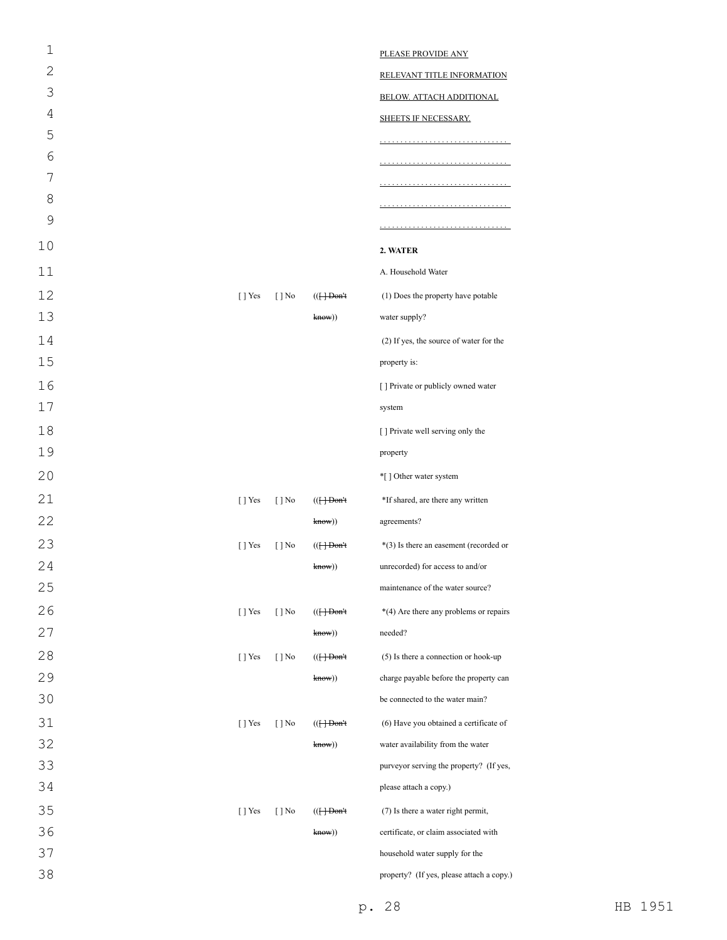| $\mathbf 1$   |           |                          |                                          | PLEASE PROVIDE ANY                        |
|---------------|-----------|--------------------------|------------------------------------------|-------------------------------------------|
| 2             |           |                          |                                          | RELEVANT TITLE INFORMATION                |
| 3             |           |                          |                                          | <b>BELOW. ATTACH ADDITIONAL</b>           |
| 4             |           |                          |                                          | SHEETS IF NECESSARY.                      |
| 5             |           |                          |                                          |                                           |
| 6             |           |                          |                                          |                                           |
| 7             |           |                          |                                          |                                           |
| 8             |           |                          |                                          |                                           |
| $\mathcal{G}$ |           |                          |                                          |                                           |
| 10            |           |                          |                                          | 2. WATER                                  |
| 11            |           |                          |                                          | A. Household Water                        |
| 12            | [ ] Yes   | $\lceil \cdot \rceil$ No | $((\leftarrow \rightarrow \text{Don't})$ | (1) Does the property have potable        |
| 13            |           |                          | kmow)                                    | water supply?                             |
| 14            |           |                          |                                          | (2) If yes, the source of water for the   |
| 15            |           |                          |                                          | property is:                              |
| 16            |           |                          |                                          | [] Private or publicly owned water        |
| 17            |           |                          |                                          | system                                    |
| 18            |           |                          |                                          | [] Private well serving only the          |
| 19            |           |                          |                                          | property                                  |
| 20            |           |                          |                                          | *[] Other water system                    |
| 21            | [ ] Yes   | $[ ]$ No                 | $((\leftarrow \}$ Don't                  | *If shared, are there any written         |
| 22            |           |                          | know))                                   | agreements?                               |
| 23            | $[$ T Yes | $\lceil \cdot \rceil$ No | $((\Box$ Don't                           | *(3) Is there an easement (recorded or    |
| 24            |           |                          | kmow)                                    | unrecorded) for access to and/or          |
| 25            |           |                          |                                          | maintenance of the water source?          |
| 26            | [ ] Yes   | $[ ]$ No                 | $((\bigoplus$ Don't                      | *(4) Are there any problems or repairs    |
| 27            |           |                          | knew)                                    | needed?                                   |
| 28            | [] Yes    | $[ ]$ No                 | $((\leftarrow \}$ Don't                  | (5) Is there a connection or hook-up      |
| 29            |           |                          | $k_{\text{new}}$ )                       | charge payable before the property can    |
| 30            |           |                          |                                          | be connected to the water main?           |
| 31            | [] Yes    | $[$   No                 | $((\leftarrow)$ Don't                    | (6) Have you obtained a certificate of    |
| 32            |           |                          | kmow)                                    | water availability from the water         |
| 33            |           |                          |                                          | purveyor serving the property? (If yes,   |
| 34            |           |                          |                                          | please attach a copy.)                    |
| 35            | $[$ ] Yes | $[ ]$ No                 | $((\bigoplus$ Don't                      | (7) Is there a water right permit,        |
| 36            |           |                          | knew)                                    | certificate, or claim associated with     |
| 37            |           |                          |                                          | household water supply for the            |
| 38            |           |                          |                                          | property? (If yes, please attach a copy.) |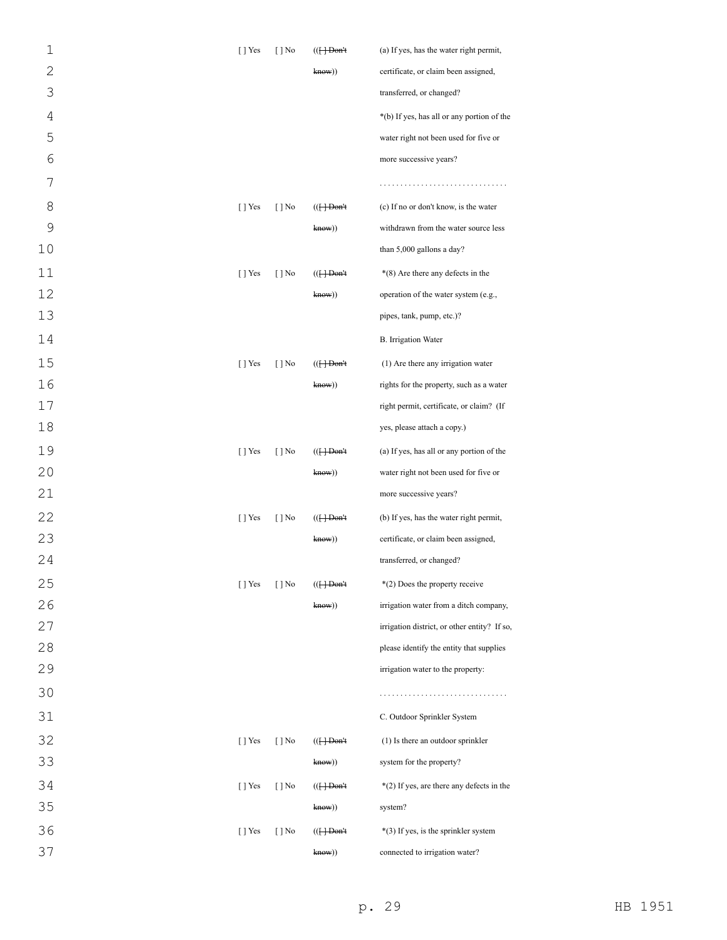| $\mathbf 1$    | $[ ]$ Yes      | $[$   No                 | $((\Box$ Bon't                           | (a) If yes, has the water right permit,      |
|----------------|----------------|--------------------------|------------------------------------------|----------------------------------------------|
| $\overline{2}$ |                |                          | kmow)                                    | certificate, or claim been assigned,         |
| 3              |                |                          |                                          | transferred, or changed?                     |
| $\overline{4}$ |                |                          |                                          | *(b) If yes, has all or any portion of the   |
| 5              |                |                          |                                          | water right not been used for five or        |
| 6              |                |                          |                                          | more successive years?                       |
| 7              |                |                          |                                          | .                                            |
| 8              | $[$ T Yes      | $[$ ] No                 | $((\Box$ Bon't                           | (c) If no or don't know, is the water        |
| 9              |                |                          | kmow)                                    | withdrawn from the water source less         |
| 10             |                |                          |                                          | than 5,000 gallons a day?                    |
| 11             | $\lceil$   Yes | $[$ ] No                 | $((\bigoplus$ Don't                      | $*(8)$ Are there any defects in the          |
| 12             |                |                          | kmow)                                    | operation of the water system (e.g.,         |
| 13             |                |                          |                                          | pipes, tank, pump, etc.)?                    |
| 14             |                |                          |                                          | <b>B.</b> Irrigation Water                   |
| 15             | $[$ T Yes      | $\lceil \cdot \rceil$ No | $((\Box$ Don't                           | (1) Are there any irrigation water           |
| 16             |                |                          | kmow)                                    | rights for the property, such as a water     |
| 17             |                |                          |                                          | right permit, certificate, or claim? (If     |
| 18             |                |                          |                                          | yes, please attach a copy.)                  |
| 19             | $[$ T Yes      | $[ ]$ No                 | $((\bigoplus$ Don't                      | (a) If yes, has all or any portion of the    |
| 20             |                |                          | kmow)                                    | water right not been used for five or        |
| 21             |                |                          |                                          | more successive years?                       |
| 22             | $[$ T Yes      | $[$ ] No                 | $((\Box$ Don't                           | (b) If yes, has the water right permit,      |
| 23             |                |                          | kmow)                                    | certificate, or claim been assigned,         |
| 24             |                |                          |                                          | transferred, or changed?                     |
| 25             | [] Yes         | $[ ]$ No                 | $((\Box$ Don't                           | *(2) Does the property receive               |
| 26             |                |                          | kmow)                                    | irrigation water from a ditch company,       |
| 27             |                |                          |                                          | irrigation district, or other entity? If so, |
| 28             |                |                          |                                          | please identify the entity that supplies     |
| 29             |                |                          |                                          | irrigation water to the property:            |
| 30             |                |                          |                                          |                                              |
| 31             |                |                          |                                          | C. Outdoor Sprinkler System                  |
| 32             | [] Yes         | $[ ]$ No                 | $((\leftarrow \rightarrow \text{Don't})$ | (1) Is there an outdoor sprinkler            |
| 33             |                |                          | kmow)                                    | system for the property?                     |
| 34             | [] Yes         | $\lceil \cdot \rceil$ No | $((\bigoplus$ Don't                      | *(2) If yes, are there any defects in the    |
| 35             |                |                          | knew)                                    | system?                                      |
| 36             | [] Yes         | $[ ]$ No                 | $((\leftarrow)$ Don't                    | *(3) If yes, is the sprinkler system         |
| 37             |                |                          | knew)                                    | connected to irrigation water?               |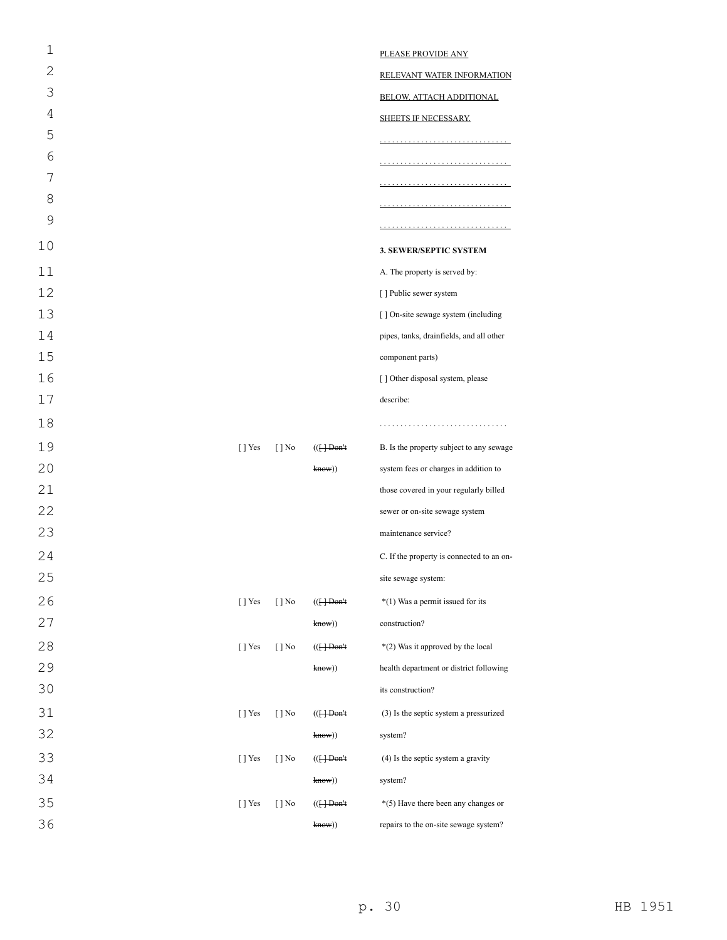| $\mathbf 1$    |                |                          |                                     | PLEASE PROVIDE ANY                        |
|----------------|----------------|--------------------------|-------------------------------------|-------------------------------------------|
| $\overline{2}$ |                |                          |                                     | RELEVANT WATER INFORMATION                |
| 3              |                |                          |                                     | <b>BELOW. ATTACH ADDITIONAL</b>           |
| 4              |                |                          |                                     | SHEETS IF NECESSARY.                      |
| 5              |                |                          |                                     |                                           |
| 6              |                |                          |                                     |                                           |
| 7              |                |                          |                                     |                                           |
| 8              |                |                          |                                     |                                           |
| $\mathcal{G}$  |                |                          |                                     |                                           |
| 10             |                |                          |                                     | 3. SEWER/SEPTIC SYSTEM                    |
| 11             |                |                          |                                     | A. The property is served by:             |
| 12             |                |                          |                                     | [] Public sewer system                    |
| 13             |                |                          |                                     | [] On-site sewage system (including       |
| 14             |                |                          |                                     | pipes, tanks, drainfields, and all other  |
| 15             |                |                          |                                     | component parts)                          |
| 16             |                |                          |                                     | [] Other disposal system, please          |
| 17             |                |                          |                                     | describe:                                 |
| 18             |                |                          |                                     |                                           |
| 19             | $[$ ] Yes      | $\lceil \cdot \rceil$ No | $((\Box P \rightarrow \Diamond P))$ | B. Is the property subject to any sewage  |
| 20             |                |                          | kmow)                               | system fees or charges in addition to     |
| 21             |                |                          |                                     | those covered in your regularly billed    |
| 22             |                |                          |                                     | sewer or on-site sewage system            |
| 23             |                |                          |                                     | maintenance service?                      |
| 24             |                |                          |                                     | C. If the property is connected to an on- |
| 25             |                |                          |                                     | site sewage system:                       |
| 26             | $\lceil$   Yes | $[$   No                 | $((\Box$ Don't                      | *(1) Was a permit issued for its          |
| 27             |                |                          | kmow)                               | construction?                             |
| 28             | $[$ T Yes      | $[ ]$ No                 | $((\leftarrow)$ Don't               | *(2) Was it approved by the local         |
| 29             |                |                          | kmow)                               | health department or district following   |
| 30             |                |                          |                                     | its construction?                         |
| 31             | $[$ ] Yes      | $[ ]$ No                 | $((\leftarrow \}$ Don't             | (3) Is the septic system a pressurized    |
| 32             |                |                          | kmow)                               | system?                                   |
| 33             | $[$ T Yes      | $[ ]$ No                 | $((\leftarrow \text{Don't})$        | (4) Is the septic system a gravity        |
| 34             |                |                          | kmow)                               | system?                                   |
| 35             | $[$ T Yes      | $[ ]$ No                 | $((\bigoplus$ Don't                 | *(5) Have there been any changes or       |
| 36             |                |                          | knew)                               | repairs to the on-site sewage system?     |
|                |                |                          |                                     |                                           |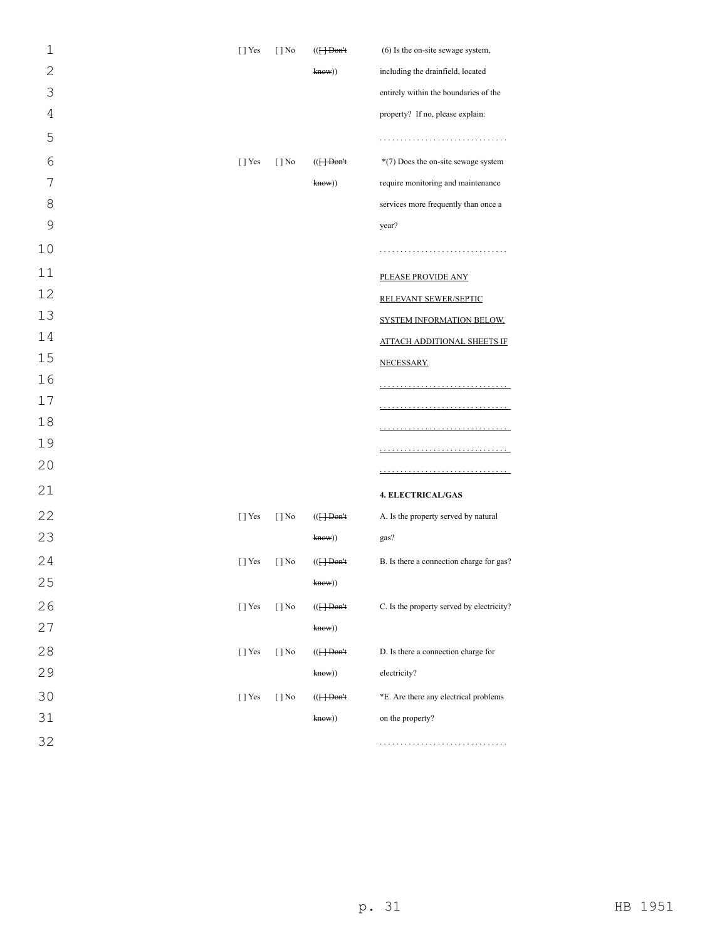| $\mathbf 1$    |           |          |                                          | $(6)$ Is the on-site sewage system,       |
|----------------|-----------|----------|------------------------------------------|-------------------------------------------|
| $\overline{2}$ | $[ ]$ Yes | $[ ]$ No | $((\leftarrow \rightarrow \text{Don't})$ |                                           |
|                |           |          | kmow)                                    | including the drainfield, located         |
| 3              |           |          |                                          | entirely within the boundaries of the     |
| $\overline{4}$ |           |          |                                          | property? If no, please explain:          |
| 5              |           |          |                                          |                                           |
| 6              | $[$ T Yes | $[$ ] No | $((\leftarrow \}$ Don't                  | *(7) Does the on-site sewage system       |
| 7              |           |          | knew)                                    | require monitoring and maintenance        |
| 8              |           |          |                                          | services more frequently than once a      |
| 9              |           |          |                                          | year?                                     |
| 10             |           |          |                                          |                                           |
| 11             |           |          |                                          | PLEASE PROVIDE ANY                        |
| 12             |           |          |                                          | RELEVANT SEWER/SEPTIC                     |
| 13             |           |          |                                          | SYSTEM INFORMATION BELOW.                 |
| 14             |           |          |                                          | <b>ATTACH ADDITIONAL SHEETS IF</b>        |
| 15             |           |          |                                          | <b>NECESSARY.</b>                         |
| 16             |           |          |                                          |                                           |
| 17             |           |          |                                          |                                           |
| 18             |           |          |                                          |                                           |
| 19             |           |          |                                          |                                           |
| 20             |           |          |                                          |                                           |
| 21             |           |          |                                          | <b>4. ELECTRICAL/GAS</b>                  |
| 22             | $[$ T Yes | $[ ]$ No | $((\leftarrow \rightarrow \text{Don't})$ | A. Is the property served by natural      |
| 23             |           |          | kmow))                                   | gas?                                      |
| 24             | [] Yes    | $[ ]$ No | $((\bigoplus$ Don't                      | B. Is there a connection charge for gas?  |
| 25             |           |          | know))                                   |                                           |
| 26             | [ ] Yes   | $[ ]$ No | $((\leftarrow \}$ Don't                  | C. Is the property served by electricity? |
| 27             |           |          | knew)                                    |                                           |
| 28             | [] Yes    | $[ ]$ No | $((\leftarrow \rightarrow \text{Don't})$ | D. Is there a connection charge for       |
| 29             |           |          | kmow))                                   | electricity?                              |
| 30             | [] Yes    | $[ ]$ No | $((\leftarrow \}$ Don't                  | *E. Are there any electrical problems     |
| 31             |           |          | knew)                                    | on the property?                          |
| 32             |           |          |                                          |                                           |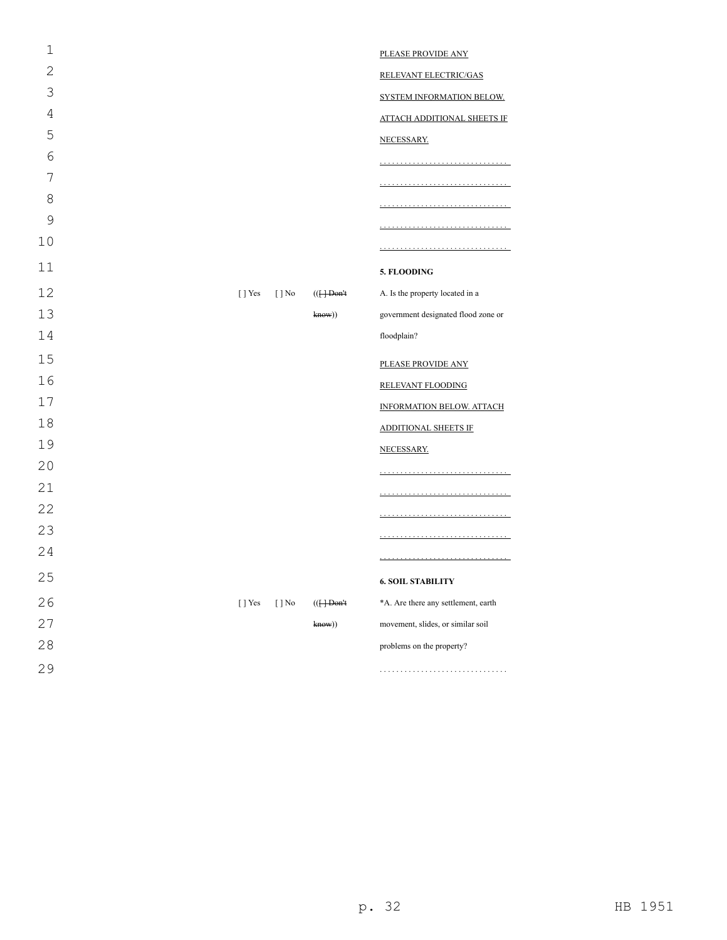| $\mathbf 1$    |                |          |                       | PLEASE PROVIDE ANY                  |
|----------------|----------------|----------|-----------------------|-------------------------------------|
| $\mathbf{2}$   |                |          |                       | RELEVANT ELECTRIC/GAS               |
| 3              |                |          |                       | SYSTEM INFORMATION BELOW.           |
| $\overline{4}$ |                |          |                       | <b>ATTACH ADDITIONAL SHEETS IF</b>  |
| 5              |                |          |                       | NECESSARY.                          |
| 6              |                |          |                       |                                     |
| 7              |                |          |                       |                                     |
| 8              |                |          |                       |                                     |
| 9              |                |          |                       |                                     |
| 10             |                |          |                       |                                     |
| 11             |                |          |                       | 5. FLOODING                         |
| 12             | $\lceil$   Yes | $[$   No | $((\leftarrow)$ Don't | A. Is the property located in a     |
| 13             |                |          | $k_{\text{new}}$ )    | government designated flood zone or |
| 14             |                |          |                       | floodplain?                         |
| 15             |                |          |                       | PLEASE PROVIDE ANY                  |
| 16             |                |          |                       | <b>RELEVANT FLOODING</b>            |
| 17             |                |          |                       | <b>INFORMATION BELOW. ATTACH</b>    |
| 18             |                |          |                       | <b>ADDITIONAL SHEETS IF</b>         |
| 19             |                |          |                       | NECESSARY.                          |
| 20             |                |          |                       |                                     |
| 21             |                |          |                       |                                     |
| 22             |                |          |                       |                                     |
| 23             |                |          |                       |                                     |
| 24             |                |          |                       |                                     |
| 25             |                |          |                       | <b>6. SOIL STABILITY</b>            |
| 26             | [ ] Yes        | $[ ]$ No | $((\leftarrow)$ Don't | *A. Are there any settlement, earth |
| 27             |                |          | knew)                 | movement, slides, or similar soil   |
| 28             |                |          |                       | problems on the property?           |
| 29             |                |          |                       |                                     |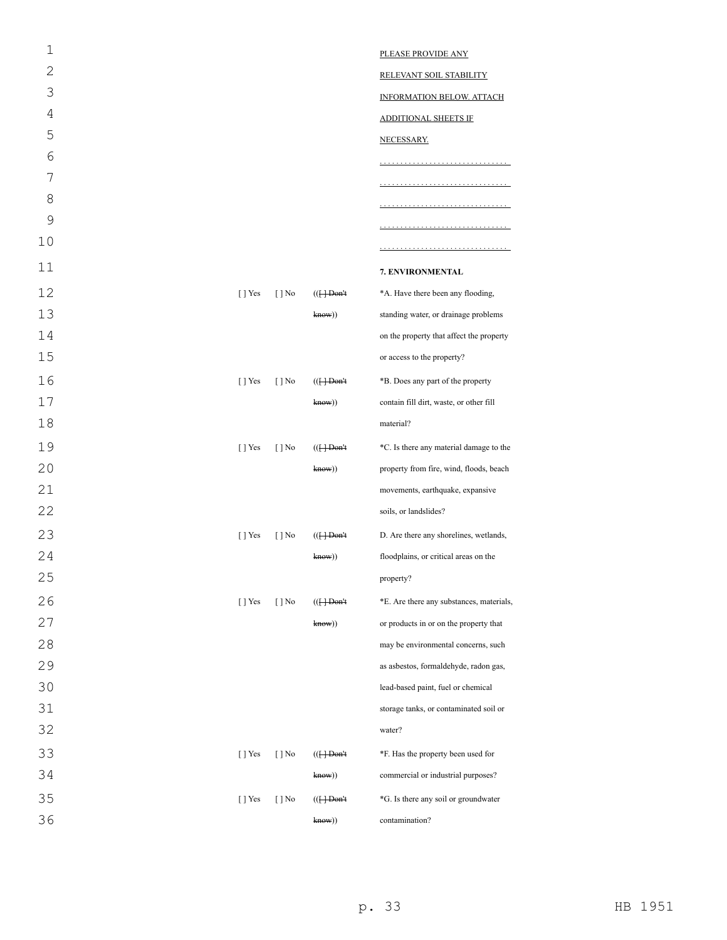| $\mathbf 1$    |                           |                          |                                                        | PLEASE PROVIDE ANY                       |
|----------------|---------------------------|--------------------------|--------------------------------------------------------|------------------------------------------|
| $\overline{2}$ |                           |                          |                                                        | RELEVANT SOIL STABILITY                  |
| 3              |                           |                          |                                                        | INFORMATION BELOW. ATTACH                |
| 4              |                           |                          |                                                        | <b>ADDITIONAL SHEETS IF</b>              |
| 5              |                           |                          |                                                        | NECESSARY.                               |
| 6              |                           |                          |                                                        |                                          |
| 7              |                           |                          |                                                        |                                          |
| 8              |                           |                          |                                                        |                                          |
| 9              |                           |                          |                                                        |                                          |
| 10             |                           |                          |                                                        |                                          |
| 11             |                           |                          |                                                        | 7. ENVIRONMENTAL                         |
| 12             | $\lceil$   Yes            | $\lceil \cdot \rceil$ No | $((\Box$ Don't                                         | *A. Have there been any flooding,        |
| 13             |                           |                          | kmow)                                                  | standing water, or drainage problems     |
| 14             |                           |                          |                                                        | on the property that affect the property |
| 15             |                           |                          |                                                        | or access to the property?               |
| 16             | $\lceil$   Yes            | $\lceil \cdot \rceil$ No | $((\overline{+)}\overline{+}\overline{+}\overline{+})$ | *B. Does any part of the property        |
| 17             |                           |                          | kmow)                                                  | contain fill dirt, waste, or other fill  |
| 18             |                           |                          |                                                        | material?                                |
| 19             | $[$ T Yes                 | $\lceil \cdot \rceil$ No | $((\bigoplus$ Don't                                    | *C. Is there any material damage to the  |
| 20             |                           |                          | kmow)                                                  | property from fire, wind, floods, beach  |
| 21             |                           |                          |                                                        | movements, earthquake, expansive         |
| 22             |                           |                          |                                                        | soils, or landslides?                    |
| 23             | $\lceil \cdot \rceil$ Yes | $[$ ] No                 | $((\leftarrow \}$ Don't                                | D. Are there any shorelines, wetlands,   |
| 24             |                           |                          | kmow)                                                  | floodplains, or critical areas on the    |
| 25             |                           |                          |                                                        | property?                                |
| 26             | [ ] Yes                   | $\lceil \cdot \rceil$ No | $((\Box P \rightarrow \Diamond P))$                    | *E. Are there any substances, materials, |
| 27             |                           |                          | kmow)                                                  | or products in or on the property that   |
| 28             |                           |                          |                                                        | may be environmental concerns, such      |
| 29             |                           |                          |                                                        | as asbestos, formaldehyde, radon gas,    |
| 30             |                           |                          |                                                        | lead-based paint, fuel or chemical       |
| 31             |                           |                          |                                                        | storage tanks, or contaminated soil or   |
| 32             |                           |                          |                                                        | water?                                   |
| 33             | [] Yes                    | $[ ]$ No                 | $((\bigoplus$ Don't                                    | *F. Has the property been used for       |
| 34             |                           |                          | kmow)                                                  | commercial or industrial purposes?       |
| 35             | [] Yes                    | $[$ ] No                 | $((\Box$ Don't                                         | *G. Is there any soil or groundwater     |
| 36             |                           |                          | kmow)                                                  | contamination?                           |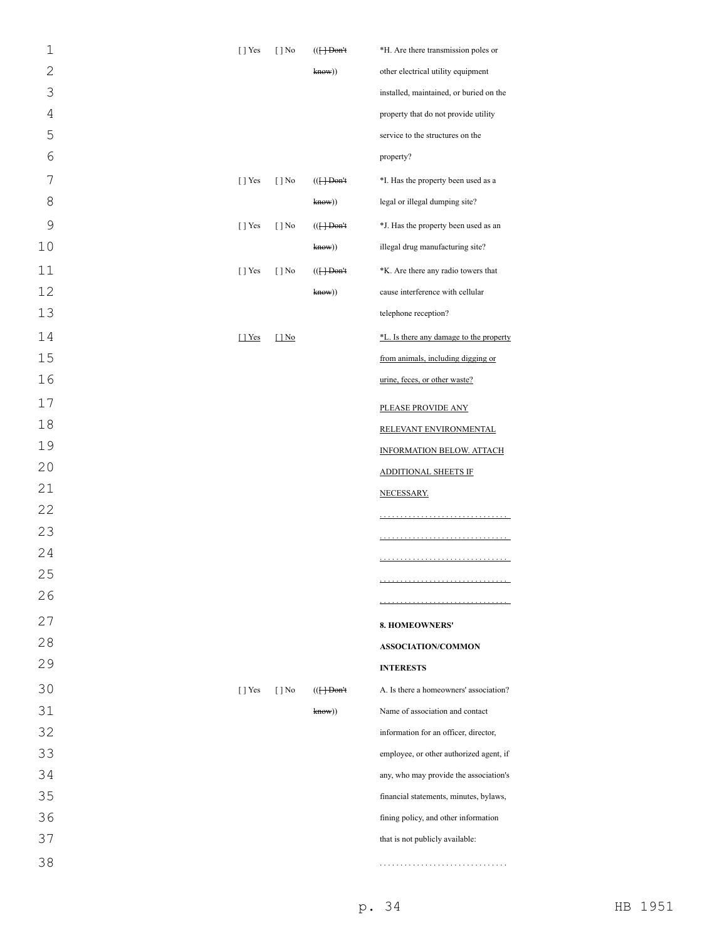| $\mathbf{1}$   | $\lceil \cdot \rceil$ Yes | $\lceil \cdot \rceil$ No | $((\Box$ Don't      | *H. Are there transmission poles or     |
|----------------|---------------------------|--------------------------|---------------------|-----------------------------------------|
| $\mathbf{2}$   |                           |                          | $k_{\text{now}}$ )  | other electrical utility equipment      |
| 3              |                           |                          |                     | installed, maintained, or buried on the |
| $\overline{4}$ |                           |                          |                     | property that do not provide utility    |
| 5              |                           |                          |                     | service to the structures on the        |
| 6              |                           |                          |                     | property?                               |
| 7              | $\lceil \cdot \rceil$ Yes | $\lceil \cdot \rceil$ No | $((\bigoplus$ Don't | *I. Has the property been used as a     |
| 8              |                           |                          | knew)               | legal or illegal dumping site?          |
| 9              | [] Yes                    | $\lceil \cdot \rceil$ No | $((\Box$ Don't      | *J. Has the property been used as an    |
| 10             |                           |                          | $k_{\text{new}}$ )  | illegal drug manufacturing site?        |
| 11             | $\lceil$   Yes            | $\lceil \cdot \rceil$ No | $((\Box$ Don't      | *K. Are there any radio towers that     |
| 12             |                           |                          | kmow)               | cause interference with cellular        |
| 13             |                           |                          |                     | telephone reception?                    |
| 14             | $\Box$ Yes                | $\Box$ No                |                     | *L. Is there any damage to the property |
| 15             |                           |                          |                     | from animals, including digging or      |
| 16             |                           |                          |                     | urine, feces, or other waste?           |
| 17             |                           |                          |                     | PLEASE PROVIDE ANY                      |
| 18             |                           |                          |                     | RELEVANT ENVIRONMENTAL                  |
| 19             |                           |                          |                     | INFORMATION BELOW. ATTACH               |
| 20             |                           |                          |                     | <b>ADDITIONAL SHEETS IF</b>             |
| 21             |                           |                          |                     | NECESSARY.                              |
| 22             |                           |                          |                     |                                         |
| 23             |                           |                          |                     |                                         |
| 24             |                           |                          |                     |                                         |
| 25             |                           |                          |                     |                                         |
| 26             |                           |                          |                     |                                         |
| 27             |                           |                          |                     | <b>8. HOMEOWNERS'</b>                   |
| 28             |                           |                          |                     | ASSOCIATION/COMMON                      |
| 29             |                           |                          |                     | <b>INTERESTS</b>                        |
| 30             | [] Yes                    | $[$   No                 | $((\bigoplus$ Don't | A. Is there a homeowners' association?  |
| 31             |                           |                          | knew)               | Name of association and contact         |
| 32             |                           |                          |                     | information for an officer, director,   |
| 33             |                           |                          |                     | employee, or other authorized agent, if |
| 34             |                           |                          |                     | any, who may provide the association's  |
| 35             |                           |                          |                     | financial statements, minutes, bylaws,  |
| 36             |                           |                          |                     | fining policy, and other information    |
| 37             |                           |                          |                     | that is not publicly available:         |
| 38             |                           |                          |                     |                                         |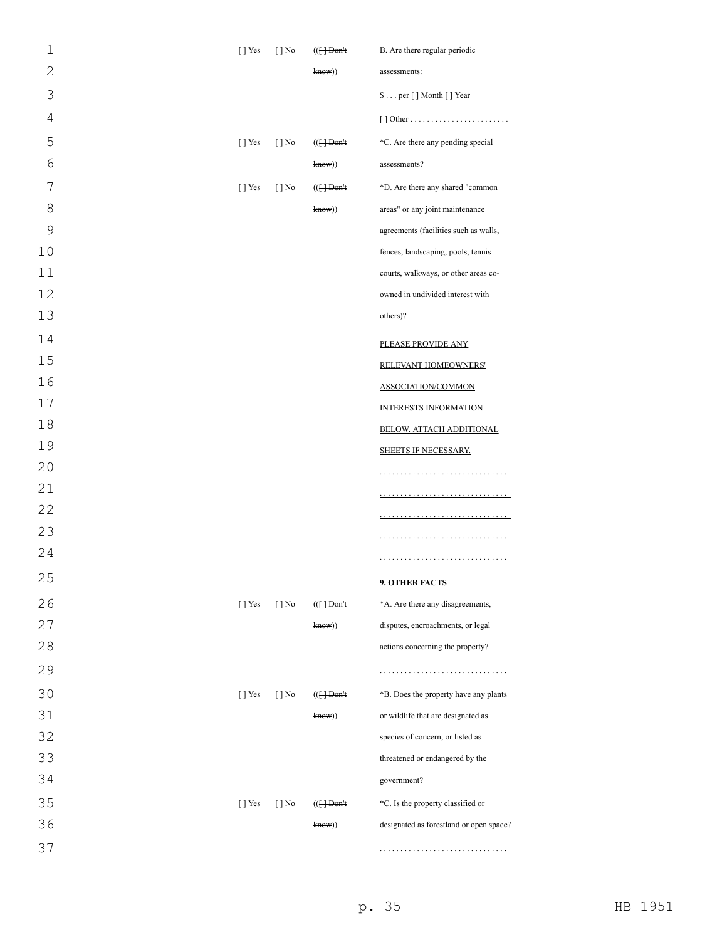| 1              | $\lceil$   Yes            | $\lceil \cdot \rceil$ No | $((\bigoplus$ Don't                      | B. Are there regular periodic            |
|----------------|---------------------------|--------------------------|------------------------------------------|------------------------------------------|
| $\overline{2}$ |                           |                          | kmow)                                    | assessments:                             |
| 3              |                           |                          |                                          | $\text{\$} \dots$ per [ ] Month [ ] Year |
| 4              |                           |                          |                                          |                                          |
| 5              | $\lceil$   Yes            | $\lceil \cdot \rceil$ No | $((\leftarrow \text{Don't})$             | *C. Are there any pending special        |
| 6              |                           |                          | kmow)                                    | assessments?                             |
| 7              | $\lceil \cdot \rceil$ Yes | $\lceil \cdot \rceil$ No | $((\bigoplus$ Don't                      | *D. Are there any shared "common         |
| 8              |                           |                          | $k_{\text{new}}$ )                       | areas" or any joint maintenance          |
| 9              |                           |                          |                                          | agreements (facilities such as walls,    |
| 10             |                           |                          |                                          | fences, landscaping, pools, tennis       |
| 11             |                           |                          |                                          | courts, walkways, or other areas co-     |
| 12             |                           |                          |                                          | owned in undivided interest with         |
| 13             |                           |                          |                                          | others)?                                 |
| 14             |                           |                          |                                          | PLEASE PROVIDE ANY                       |
| 15             |                           |                          |                                          | RELEVANT HOMEOWNERS'                     |
| 16             |                           |                          |                                          | ASSOCIATION/COMMON                       |
| 17             |                           |                          |                                          | <b>INTERESTS INFORMATION</b>             |
| 18             |                           |                          |                                          | <b>BELOW. ATTACH ADDITIONAL</b>          |
| 19             |                           |                          |                                          | SHEETS IF NECESSARY.                     |
| 20             |                           |                          |                                          |                                          |
| 21             |                           |                          |                                          |                                          |
| 22             |                           |                          |                                          |                                          |
| 23             |                           |                          |                                          |                                          |
| 24             |                           |                          |                                          |                                          |
| 25             |                           |                          |                                          | <b>9. OTHER FACTS</b>                    |
| 26             | [ ] Yes                   | $[$   No                 | $((\bigoplus$ Don't                      | *A. Are there any disagreements,         |
| 27             |                           |                          | $k_{\text{new}}$ )                       | disputes, encroachments, or legal        |
| 28             |                           |                          |                                          | actions concerning the property?         |
| 29             |                           |                          |                                          |                                          |
| 30             | [ ] Yes                   | $[ ]$ No                 | $((\leftarrow \rightarrow \text{Don't})$ | *B. Does the property have any plants    |
| 31             |                           |                          | kmow)                                    | or wildlife that are designated as       |
| 32             |                           |                          |                                          | species of concern, or listed as         |
| 33             |                           |                          |                                          | threatened or endangered by the          |
| 34             |                           |                          |                                          | government?                              |
| 35             | [] Yes                    | $\lceil \cdot \rceil$ No | $((\bigoplus$ Don't                      | *C. Is the property classified or        |
| 36             |                           |                          | kmow)                                    | designated as forestland or open space?  |
| 37             |                           |                          |                                          |                                          |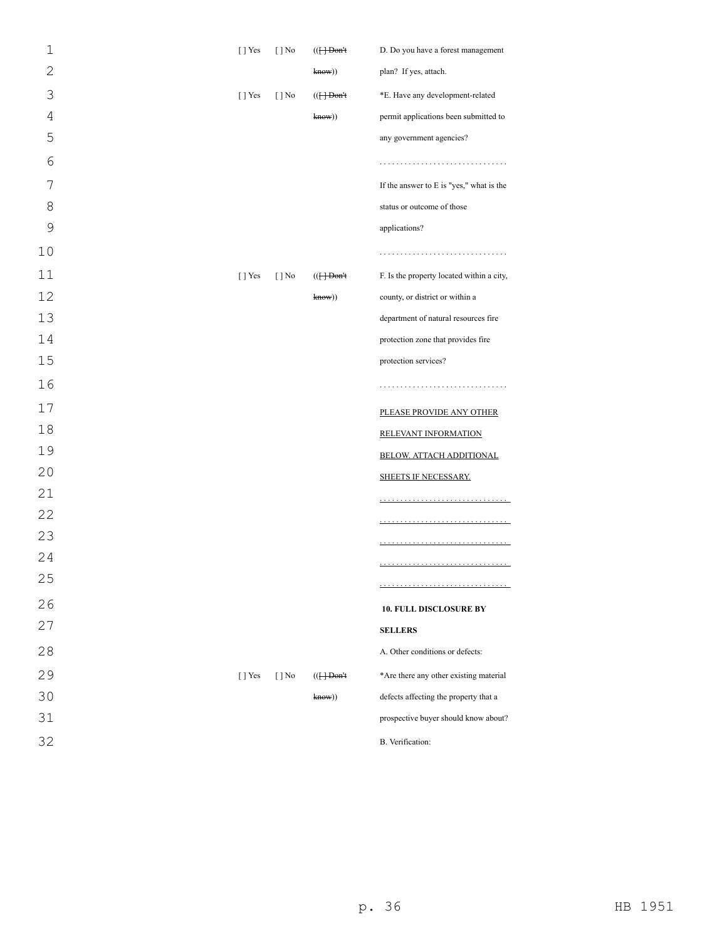| $\mathbf{1}$   | [] Yes  | $[ ]$ No                 | $((\leftarrow \text{Don't})$ | D. Do you have a forest management        |
|----------------|---------|--------------------------|------------------------------|-------------------------------------------|
| $\mathbf{2}$   |         |                          | kmow)                        | plan? If yes, attach.                     |
| 3              | [] Yes  | $\lceil \cdot \rceil$ No | $((\bigoplus$ Don't          | *E. Have any development-related          |
| $\overline{4}$ |         |                          | knew)                        | permit applications been submitted to     |
| 5              |         |                          |                              | any government agencies?                  |
| 6              |         |                          |                              |                                           |
| 7              |         |                          |                              | If the answer to E is "yes," what is the  |
| 8              |         |                          |                              | status or outcome of those                |
| 9              |         |                          |                              | applications?                             |
| 10             |         |                          |                              |                                           |
| 11             | [ ] Yes | $[$ ] No                 | $((\leftarrow \}$ Don't      | F. Is the property located within a city, |
| 12             |         |                          | knew)                        | county, or district or within a           |
| 13             |         |                          |                              | department of natural resources fire      |
| 14             |         |                          |                              | protection zone that provides fire        |
| 15             |         |                          |                              | protection services?                      |
| 16             |         |                          |                              |                                           |
| 17             |         |                          |                              | PLEASE PROVIDE ANY OTHER                  |
| 18             |         |                          |                              | RELEVANT INFORMATION                      |
| 19             |         |                          |                              | <b>BELOW. ATTACH ADDITIONAL</b>           |
| 20             |         |                          |                              | <b>SHEETS IF NECESSARY.</b>               |
| 21             |         |                          |                              |                                           |
| 22             |         |                          |                              |                                           |
| 23             |         |                          |                              |                                           |
| 24             |         |                          |                              |                                           |
| 25             |         |                          |                              |                                           |
| 26             |         |                          |                              | <b>10. FULL DISCLOSURE BY</b>             |
| 27             |         |                          |                              | <b>SELLERS</b>                            |
| 28             |         |                          |                              | A. Other conditions or defects:           |
| 29             | [] Yes  | $[$ ] No                 | $((\Box$ Don't               | *Are there any other existing material    |
| 30             |         |                          | $k_{\text{new}}$ )           | defects affecting the property that a     |
| 31             |         |                          |                              | prospective buyer should know about?      |
| 32             |         |                          |                              | B. Verification:                          |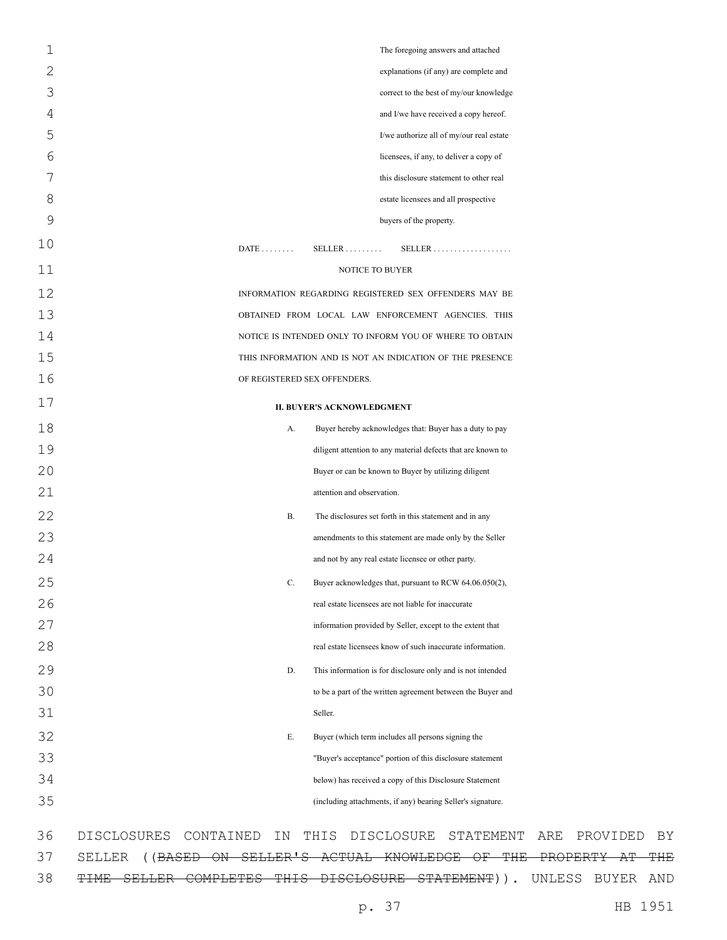| 1  | The foregoing answers and attached                                                                         |  |
|----|------------------------------------------------------------------------------------------------------------|--|
| 2  | explanations (if any) are complete and                                                                     |  |
| 3  | correct to the best of my/our knowledge                                                                    |  |
| 4  | and I/we have received a copy hereof.                                                                      |  |
| 5  | I/we authorize all of my/our real estate                                                                   |  |
| 6  | licensees, if any, to deliver a copy of                                                                    |  |
| 7  | this disclosure statement to other real                                                                    |  |
| 8  | estate licensees and all prospective                                                                       |  |
| 9  | buyers of the property.                                                                                    |  |
| 10 | $DATE$<br>$SELLER$                                                                                         |  |
| 11 | NOTICE TO BUYER                                                                                            |  |
| 12 | INFORMATION REGARDING REGISTERED SEX OFFENDERS MAY BE                                                      |  |
| 13 | OBTAINED FROM LOCAL LAW ENFORCEMENT AGENCIES. THIS                                                         |  |
| 14 | NOTICE IS INTENDED ONLY TO INFORM YOU OF WHERE TO OBTAIN                                                   |  |
| 15 | THIS INFORMATION AND IS NOT AN INDICATION OF THE PRESENCE                                                  |  |
| 16 | OF REGISTERED SEX OFFENDERS.                                                                               |  |
| 17 | <b>II. BUYER'S ACKNOWLEDGMENT</b>                                                                          |  |
| 18 | Buyer hereby acknowledges that: Buyer has a duty to pay<br>А.                                              |  |
| 19 | diligent attention to any material defects that are known to                                               |  |
| 20 | Buyer or can be known to Buyer by utilizing diligent                                                       |  |
| 21 | attention and observation.                                                                                 |  |
| 22 | <b>B.</b><br>The disclosures set forth in this statement and in any                                        |  |
| 23 | amendments to this statement are made only by the Seller                                                   |  |
| 24 | and not by any real estate licensee or other party.                                                        |  |
| 25 | Buyer acknowledges that, pursuant to RCW 64.06.050(2),<br>C.                                               |  |
| 26 | real estate licensees are not liable for inaccurate                                                        |  |
| 27 | information provided by Seller, except to the extent that                                                  |  |
| 28 | real estate licensees know of such inaccurate information.                                                 |  |
| 29 | D.<br>This information is for disclosure only and is not intended                                          |  |
| 30 | to be a part of the written agreement between the Buyer and                                                |  |
| 31 | Seller.                                                                                                    |  |
| 32 | Е.<br>Buyer (which term includes all persons signing the                                                   |  |
| 33 | "Buyer's acceptance" portion of this disclosure statement                                                  |  |
| 34 | below) has received a copy of this Disclosure Statement                                                    |  |
| 35 | (including attachments, if any) bearing Seller's signature.                                                |  |
| 36 | <b>DISCLOSURES</b><br>CONTAINED<br>THIS<br>DISCLOSURE<br>STATEMENT<br>PROVIDED<br>ΙN<br>ARE<br>BY          |  |
| 37 | <del>.LER'S</del><br>SELLER<br>$($ (BASED<br>$_{\rm SEL}$<br>ACTUAL<br>KNOWLEDGE<br>ŦĦE<br>₽R<br>THE<br>ΘN |  |
|    |                                                                                                            |  |

38 TIME SELLER COMPLETES THIS DISCLOSURE STATEMENT)). UNLESS BUYER AND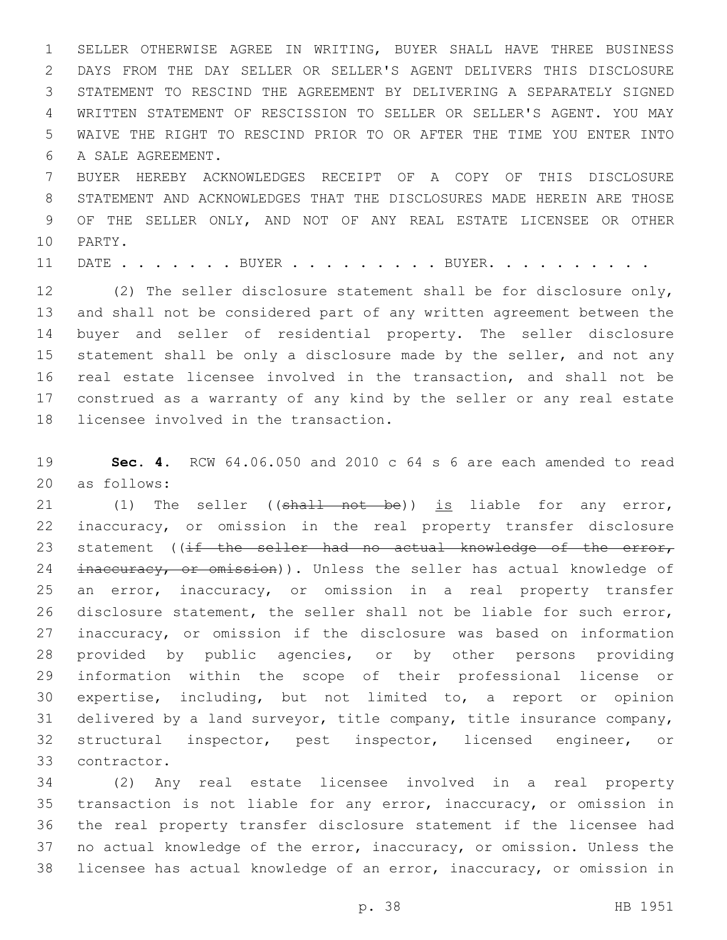SELLER OTHERWISE AGREE IN WRITING, BUYER SHALL HAVE THREE BUSINESS DAYS FROM THE DAY SELLER OR SELLER'S AGENT DELIVERS THIS DISCLOSURE STATEMENT TO RESCIND THE AGREEMENT BY DELIVERING A SEPARATELY SIGNED WRITTEN STATEMENT OF RESCISSION TO SELLER OR SELLER'S AGENT. YOU MAY WAIVE THE RIGHT TO RESCIND PRIOR TO OR AFTER THE TIME YOU ENTER INTO 6 A SALE AGREEMENT.

 BUYER HEREBY ACKNOWLEDGES RECEIPT OF A COPY OF THIS DISCLOSURE STATEMENT AND ACKNOWLEDGES THAT THE DISCLOSURES MADE HEREIN ARE THOSE OF THE SELLER ONLY, AND NOT OF ANY REAL ESTATE LICENSEE OR OTHER 10 PARTY.

11 DATE . . . . . . BUYER . . . . . . . . BUYER. . . . . . . . . .

 (2) The seller disclosure statement shall be for disclosure only, and shall not be considered part of any written agreement between the buyer and seller of residential property. The seller disclosure statement shall be only a disclosure made by the seller, and not any real estate licensee involved in the transaction, and shall not be construed as a warranty of any kind by the seller or any real estate 18 licensee involved in the transaction.

 **Sec. 4.** RCW 64.06.050 and 2010 c 64 s 6 are each amended to read 20 as follows:

21 (1) The seller ((shall not be)) is liable for any error, inaccuracy, or omission in the real property transfer disclosure 23 statement ((if the seller had no actual knowledge of the error, 24 inaccuracy, or omission)). Unless the seller has actual knowledge of an error, inaccuracy, or omission in a real property transfer disclosure statement, the seller shall not be liable for such error, inaccuracy, or omission if the disclosure was based on information provided by public agencies, or by other persons providing information within the scope of their professional license or expertise, including, but not limited to, a report or opinion delivered by a land surveyor, title company, title insurance company, structural inspector, pest inspector, licensed engineer, or 33 contractor.

 (2) Any real estate licensee involved in a real property transaction is not liable for any error, inaccuracy, or omission in the real property transfer disclosure statement if the licensee had no actual knowledge of the error, inaccuracy, or omission. Unless the licensee has actual knowledge of an error, inaccuracy, or omission in